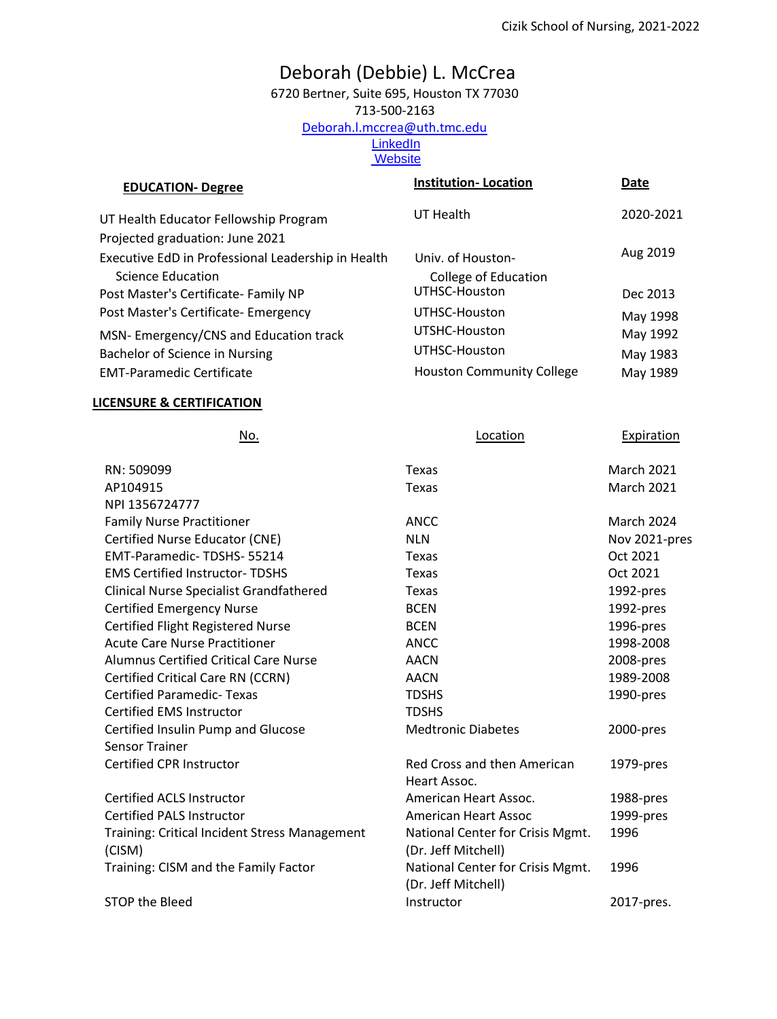# Deborah (Debbie) L. McCrea

6720 Bertner, Suite 695, Houston TX 77030

713-500-2163

# [Deborah.l.mccrea@uth.tmc.edu](mailto:Deborah.l.mccrea@uth.tmc.edu)

**[LinkedIn](http://www.linkedin.com/in/debbie-mccrea-245224a3) [Website](https://flyingal.wixsite.com/debbiemccrea)** 

| <b>Institution-Location</b>      | Date                 |
|----------------------------------|----------------------|
| UT Health                        | 2020-2021            |
| Univ. of Houston-                | Aug 2019             |
| UTHSC-Houston                    | Dec 2013             |
| UTHSC-Houston                    | May 1998             |
| UTSHC-Houston                    | May 1992             |
| UTHSC-Houston                    | May 1983             |
| <b>Houston Community College</b> | May 1989             |
|                                  | College of Education |

### **LICENSURE & CERTIFICATION**

| <u>No.</u>                                     | Location                         | Expiration        |
|------------------------------------------------|----------------------------------|-------------------|
| RN: 509099                                     | <b>Texas</b>                     | <b>March 2021</b> |
| AP104915                                       | <b>Texas</b>                     | <b>March 2021</b> |
| NPI 1356724777                                 |                                  |                   |
| <b>Family Nurse Practitioner</b>               | <b>ANCC</b>                      | <b>March 2024</b> |
| Certified Nurse Educator (CNE)                 | <b>NLN</b>                       | Nov 2021-pres     |
| EMT-Paramedic-TDSHS-55214                      | Texas                            | Oct 2021          |
| <b>EMS Certified Instructor-TDSHS</b>          | <b>Texas</b>                     | Oct 2021          |
| <b>Clinical Nurse Specialist Grandfathered</b> | <b>Texas</b>                     | 1992-pres         |
| <b>Certified Emergency Nurse</b>               | <b>BCEN</b>                      | 1992-pres         |
| <b>Certified Flight Registered Nurse</b>       | <b>BCEN</b>                      | 1996-pres         |
| <b>Acute Care Nurse Practitioner</b>           | <b>ANCC</b>                      | 1998-2008         |
| <b>Alumnus Certified Critical Care Nurse</b>   | <b>AACN</b>                      | 2008-pres         |
| <b>Certified Critical Care RN (CCRN)</b>       | <b>AACN</b>                      | 1989-2008         |
| <b>Certified Paramedic- Texas</b>              | <b>TDSHS</b>                     | 1990-pres         |
| <b>Certified EMS Instructor</b>                | <b>TDSHS</b>                     |                   |
| Certified Insulin Pump and Glucose             | <b>Medtronic Diabetes</b>        | 2000-pres         |
| <b>Sensor Trainer</b>                          |                                  |                   |
| <b>Certified CPR Instructor</b>                | Red Cross and then American      | 1979-pres         |
|                                                | Heart Assoc.                     |                   |
| Certified ACLS Instructor                      | American Heart Assoc.            | 1988-pres         |
| <b>Certified PALS Instructor</b>               | <b>American Heart Assoc</b>      | 1999-pres         |
| Training: Critical Incident Stress Management  | National Center for Crisis Mgmt. | 1996              |
| (CISM)                                         | (Dr. Jeff Mitchell)              |                   |
| Training: CISM and the Family Factor           | National Center for Crisis Mgmt. | 1996              |
|                                                | (Dr. Jeff Mitchell)              |                   |
| <b>STOP the Bleed</b>                          | Instructor                       | 2017-pres.        |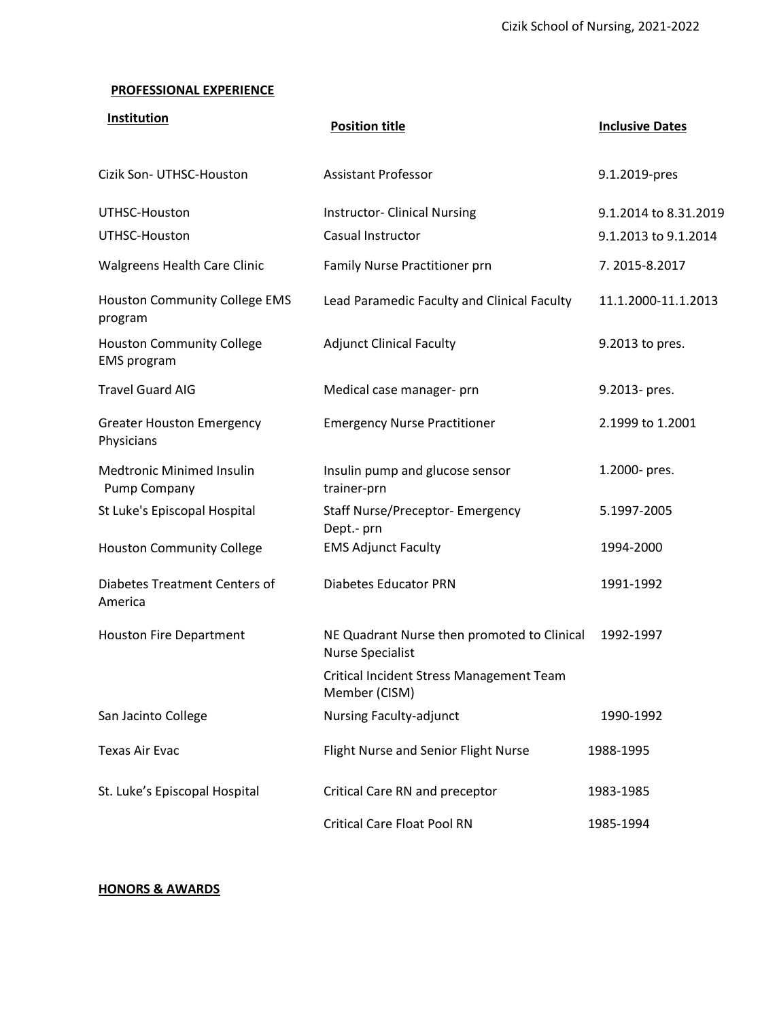### **PROFESSIONAL EXPERIENCE**

| Institution                                            | <b>Position title</b>                                                  | <b>Inclusive Dates</b> |
|--------------------------------------------------------|------------------------------------------------------------------------|------------------------|
| Cizik Son- UTHSC-Houston                               | <b>Assistant Professor</b>                                             | 9.1.2019-pres          |
| UTHSC-Houston                                          | <b>Instructor- Clinical Nursing</b>                                    | 9.1.2014 to 8.31.2019  |
| UTHSC-Houston                                          | Casual Instructor                                                      | 9.1.2013 to 9.1.2014   |
| Walgreens Health Care Clinic                           | Family Nurse Practitioner prn                                          | 7.2015-8.2017          |
| <b>Houston Community College EMS</b><br>program        | Lead Paramedic Faculty and Clinical Faculty                            | 11.1.2000-11.1.2013    |
| <b>Houston Community College</b><br><b>EMS</b> program | <b>Adjunct Clinical Faculty</b>                                        | 9.2013 to pres.        |
| <b>Travel Guard AIG</b>                                | Medical case manager- prn                                              | 9.2013- pres.          |
| <b>Greater Houston Emergency</b><br>Physicians         | <b>Emergency Nurse Practitioner</b>                                    | 2.1999 to 1.2001       |
| <b>Medtronic Minimed Insulin</b><br>Pump Company       | Insulin pump and glucose sensor<br>trainer-prn                         | 1.2000- pres.          |
| St Luke's Episcopal Hospital                           | <b>Staff Nurse/Preceptor-Emergency</b><br>Dept.- prn                   | 5.1997-2005            |
| <b>Houston Community College</b>                       | <b>EMS Adjunct Faculty</b>                                             | 1994-2000              |
| Diabetes Treatment Centers of<br>America               | <b>Diabetes Educator PRN</b>                                           | 1991-1992              |
| <b>Houston Fire Department</b>                         | NE Quadrant Nurse then promoted to Clinical<br><b>Nurse Specialist</b> | 1992-1997              |
|                                                        | Critical Incident Stress Management Team<br>Member (CISM)              |                        |
| San Jacinto College                                    | <b>Nursing Faculty-adjunct</b>                                         | 1990-1992              |
| <b>Texas Air Evac</b>                                  | Flight Nurse and Senior Flight Nurse                                   | 1988-1995              |
| St. Luke's Episcopal Hospital                          | Critical Care RN and preceptor                                         | 1983-1985              |
|                                                        | <b>Critical Care Float Pool RN</b>                                     | 1985-1994              |

**HONORS & AWARDS**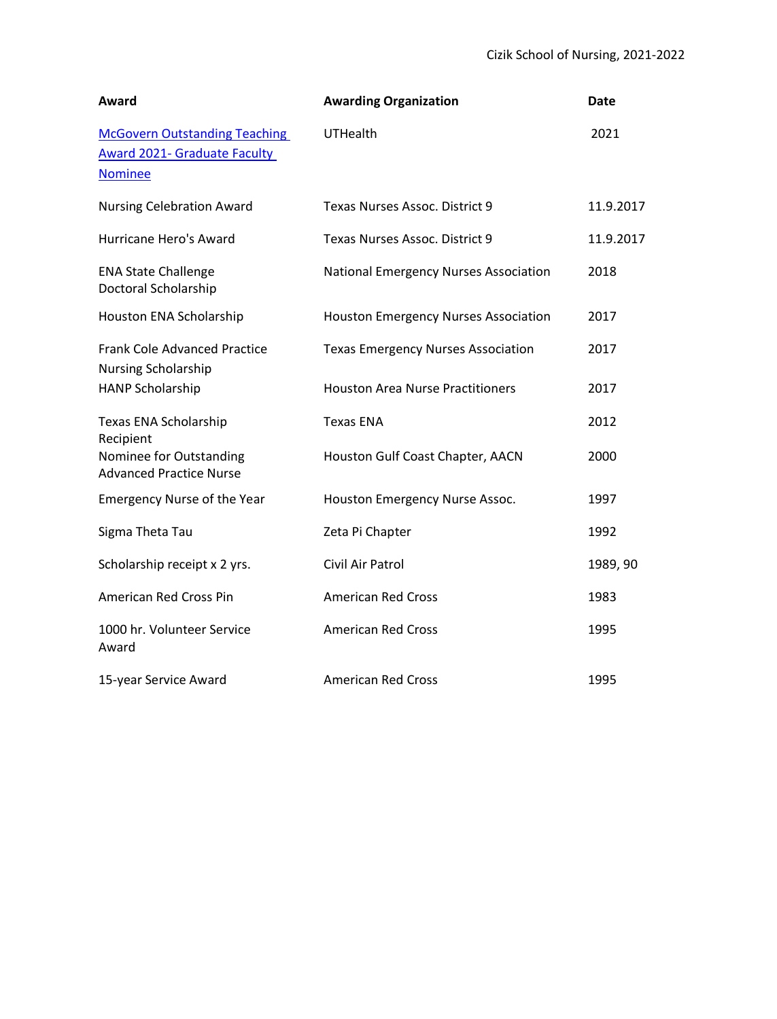| Award                                                                                         | <b>Awarding Organization</b>                 | Date      |
|-----------------------------------------------------------------------------------------------|----------------------------------------------|-----------|
| <b>McGovern Outstanding Teaching</b><br><b>Award 2021- Graduate Faculty</b><br><b>Nominee</b> | <b>UTHealth</b>                              | 2021      |
| <b>Nursing Celebration Award</b>                                                              | Texas Nurses Assoc. District 9               | 11.9.2017 |
| Hurricane Hero's Award                                                                        | Texas Nurses Assoc. District 9               | 11.9.2017 |
| <b>ENA State Challenge</b><br>Doctoral Scholarship                                            | <b>National Emergency Nurses Association</b> | 2018      |
| Houston ENA Scholarship                                                                       | <b>Houston Emergency Nurses Association</b>  | 2017      |
| <b>Frank Cole Advanced Practice</b><br><b>Nursing Scholarship</b>                             | <b>Texas Emergency Nurses Association</b>    | 2017      |
| <b>HANP Scholarship</b>                                                                       | <b>Houston Area Nurse Practitioners</b>      | 2017      |
| Texas ENA Scholarship                                                                         | <b>Texas ENA</b>                             | 2012      |
| Recipient<br>Nominee for Outstanding<br><b>Advanced Practice Nurse</b>                        | Houston Gulf Coast Chapter, AACN             | 2000      |
| <b>Emergency Nurse of the Year</b>                                                            | Houston Emergency Nurse Assoc.               | 1997      |
| Sigma Theta Tau                                                                               | Zeta Pi Chapter                              | 1992      |
| Scholarship receipt x 2 yrs.                                                                  | Civil Air Patrol                             | 1989, 90  |
| American Red Cross Pin                                                                        | <b>American Red Cross</b>                    | 1983      |
| 1000 hr. Volunteer Service<br>Award                                                           | <b>American Red Cross</b>                    | 1995      |
| 15-year Service Award                                                                         | <b>American Red Cross</b>                    | 1995      |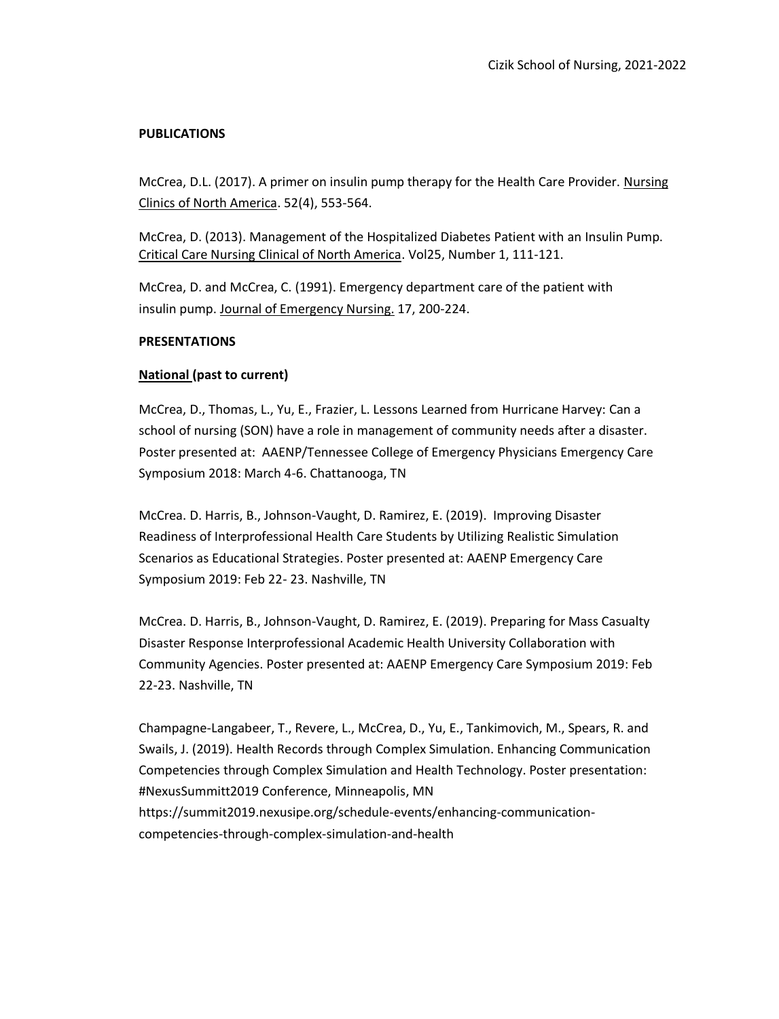#### **PUBLICATIONS**

McCrea, D.L. (2017). A primer on insulin pump therapy for the Health Care Provider. Nursing Clinics of North America. 52(4), 553-564.

McCrea, D. (2013). Management of the Hospitalized Diabetes Patient with an Insulin Pump. Critical Care Nursing Clinical of North America. Vol25, Number 1, 111-121.

McCrea, D. and McCrea, C. (1991). Emergency department care of the patient with insulin pump. Journal of Emergency Nursing. 17, 200-224.

#### **PRESENTATIONS**

### **National (past to current)**

McCrea, D., Thomas, L., Yu, E., Frazier, L. Lessons Learned from Hurricane Harvey: Can a school of nursing (SON) have a role in management of community needs after a disaster. Poster presented at: AAENP/Tennessee College of Emergency Physicians Emergency Care Symposium 2018: March 4-6. Chattanooga, TN

McCrea. D. Harris, B., Johnson-Vaught, D. Ramirez, E. (2019). Improving Disaster Readiness of Interprofessional Health Care Students by Utilizing Realistic Simulation Scenarios as Educational Strategies. Poster presented at: AAENP Emergency Care Symposium 2019: Feb 22- 23. Nashville, TN

McCrea. D. Harris, B., Johnson-Vaught, D. Ramirez, E. (2019). Preparing for Mass Casualty Disaster Response Interprofessional Academic Health University Collaboration with Community Agencies. Poster presented at: AAENP Emergency Care Symposium 2019: Feb 22-23. Nashville, TN

Champagne-Langabeer, T., Revere, L., McCrea, D., Yu, E., Tankimovich, M., Spears, R. and Swails, J. (2019). Health Records through Complex Simulation. Enhancing Communication Competencies through Complex Simulation and Health Technology. Poster presentation: #NexusSummitt2019 Conference, Minneapolis, MN https://summit2019.nexusipe.org/schedule-events/enhancing-communicationcompetencies-through-complex-simulation-and-health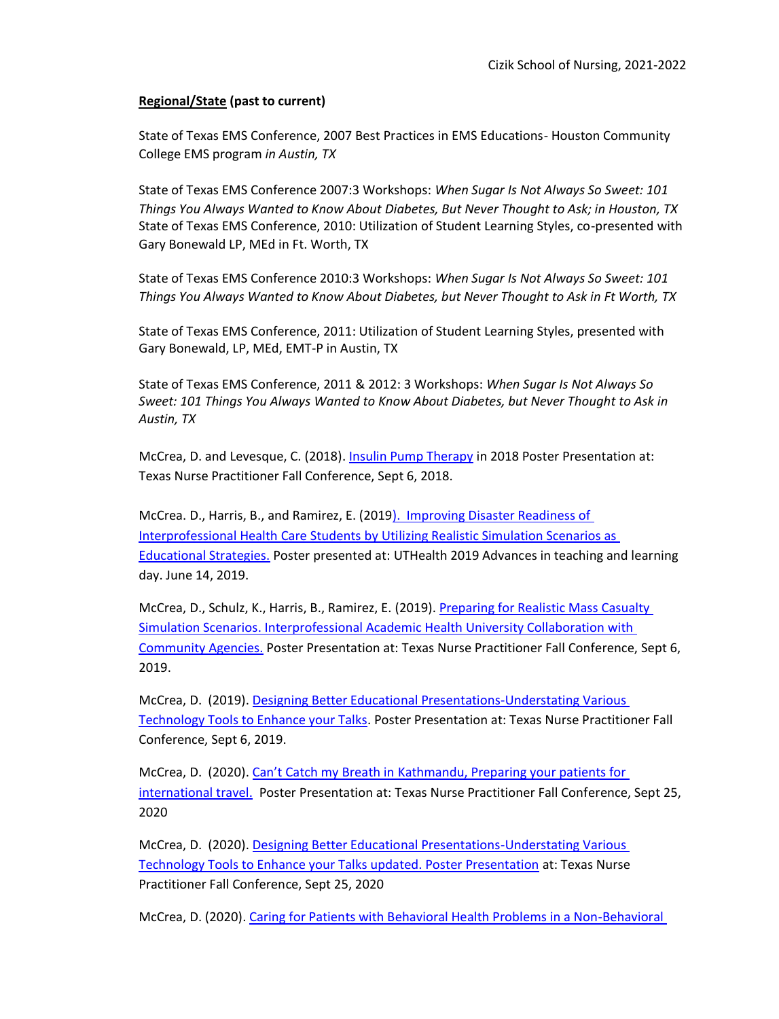### **Regional/State (past to current)**

State of Texas EMS Conference, 2007 Best Practices in EMS Educations- Houston Community College EMS program *in Austin, TX*

State of Texas EMS Conference 2007:3 Workshops: *When Sugar Is Not Always So Sweet: 101 Things You Always Wanted to Know About Diabetes, But Never Thought to Ask; in Houston, TX* State of Texas EMS Conference, 2010: Utilization of Student Learning Styles, co-presented with Gary Bonewald LP, MEd in Ft. Worth, TX

State of Texas EMS Conference 2010:3 Workshops: *When Sugar Is Not Always So Sweet: 101 Things You Always Wanted to Know About Diabetes, but Never Thought to Ask in Ft Worth, TX*

State of Texas EMS Conference, 2011: Utilization of Student Learning Styles, presented with Gary Bonewald, LP, MEd, EMT-P in Austin, TX

State of Texas EMS Conference, 2011 & 2012: 3 Workshops: *When Sugar Is Not Always So Sweet: 101 Things You Always Wanted to Know About Diabetes, but Never Thought to Ask in Austin, TX*

McCrea, D. and Levesque, C. (2018). [Insulin Pump Therapy](https://www.dropbox.com/s/ikhz9lmmtttlt31/Insulin%20Pump%20poster%20for%20TNP%20conference%20%283%29.pptx?dl=0) in 2018 Poster Presentation at: Texas Nurse Practitioner Fall Conference, Sept 6, 2018.

McCrea. D., Harris, B., and Ramirez, E. (201[9\). Improving Disaster Readiness of](https://www.dropbox.com/s/x9adomikt7laxyc/Advances%20in%20teaching%20and%20learning%20day%20Poster%202019%20%20McCrea%204x3%20size.pptx?dl=0)  [Interprofessional Health Care Students by Utilizing Realistic Simulation Scenarios as](https://www.dropbox.com/s/x9adomikt7laxyc/Advances%20in%20teaching%20and%20learning%20day%20Poster%202019%20%20McCrea%204x3%20size.pptx?dl=0)  [Educational Strategies.](https://www.dropbox.com/s/x9adomikt7laxyc/Advances%20in%20teaching%20and%20learning%20day%20Poster%202019%20%20McCrea%204x3%20size.pptx?dl=0) Poster presented at: UTHealth 2019 Advances in teaching and learning day. June 14, 2019.

McCrea, D., Schulz, K., Harris, B., Ramirez, E. (2019). [Preparing for Realistic Mass Casualty](https://www.dropbox.com/s/n8bk09h6ja2pu0f/TNP%202019%20conference%20Interprofessional%20MCI%20poster.pptx?dl=0)  [Simulation Scenarios. Interprofessional Academic Health University Collaboration with](https://www.dropbox.com/s/n8bk09h6ja2pu0f/TNP%202019%20conference%20Interprofessional%20MCI%20poster.pptx?dl=0)  [Community Agencies.](https://www.dropbox.com/s/n8bk09h6ja2pu0f/TNP%202019%20conference%20Interprofessional%20MCI%20poster.pptx?dl=0) Poster Presentation at: Texas Nurse Practitioner Fall Conference, Sept 6, 2019.

McCrea, D. (2019). [Designing Better Educational Presentations-Understating Various](https://www.dropbox.com/s/oqlh5aplq8zh62i/TNP%202019%20Conference%20Poster-Designing%20Better%20Educational%20Presentations-Understating%20various%20Technology%20Tools%20to%20Enhance%20your%20Talks.pptx?dl=0)  [Technology Tools to Enhance your Talks.](https://www.dropbox.com/s/oqlh5aplq8zh62i/TNP%202019%20Conference%20Poster-Designing%20Better%20Educational%20Presentations-Understating%20various%20Technology%20Tools%20to%20Enhance%20your%20Talks.pptx?dl=0) Poster Presentation at: Texas Nurse Practitioner Fall Conference, Sept 6, 2019.

McCrea, D. (2020). Can't Catch my Breath in Kathmandu, [Preparing your patients for](https://www.dropbox.com/s/9udy8givyytx02i/Can%27t%20Catch%20my%20Breath%20Poster-McCrea.mp4?dl=0)  [international travel.](https://www.dropbox.com/s/9udy8givyytx02i/Can%27t%20Catch%20my%20Breath%20Poster-McCrea.mp4?dl=0) Poster Presentation at: Texas Nurse Practitioner Fall Conference, Sept 25, 2020

McCrea, D. (2020). [Designing Better Educational Presentations-Understating Various](https://www.dropbox.com/s/uxeraxpb3tvouiv/Designing%20Better%20Ed%20Presentations.mp4?dl=0)  [Technology Tools to Enhance your Talks updated. Poster Presentation](https://www.dropbox.com/s/uxeraxpb3tvouiv/Designing%20Better%20Ed%20Presentations.mp4?dl=0) at: Texas Nurse Practitioner Fall Conference, Sept 25, 2020

McCrea, D. (2020). [Caring for Patients with Behavioral Health Problems in a Non-Behavioral](https://www.dropbox.com/s/6s03cp5tmz2jtbb/PEER%20SUPPORT%20FOR%20NURSES%20DURING%20A%20PANDEMIC-%20CISM%20information.docx?dl=0)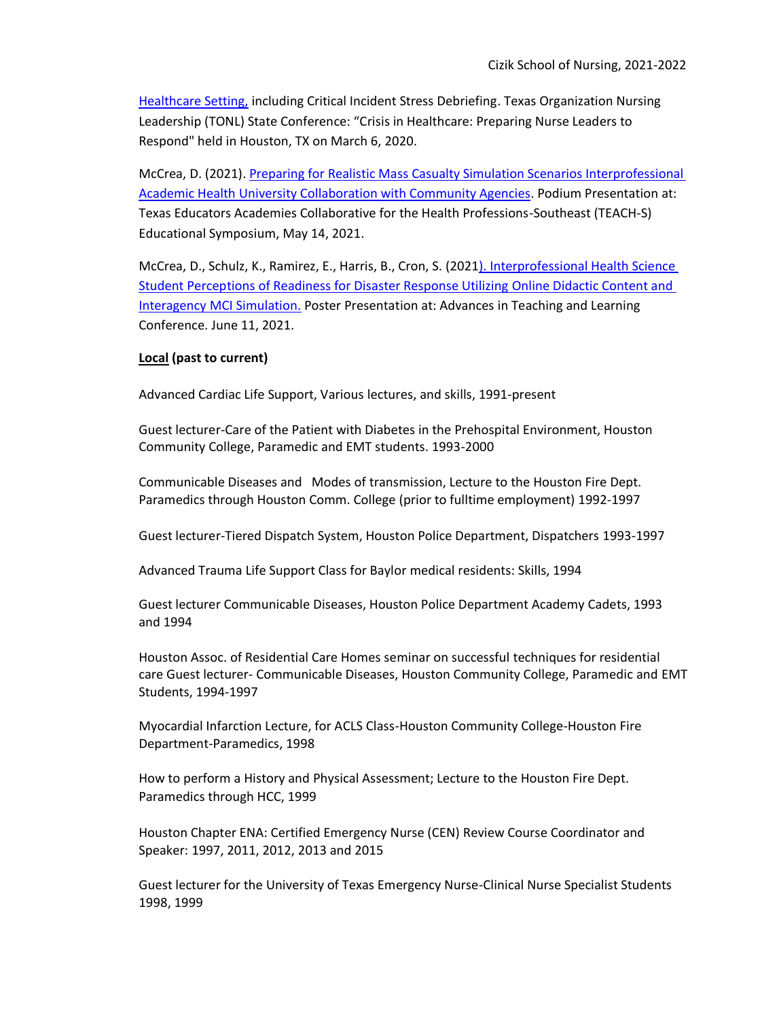[Healthcare Setting,](https://www.dropbox.com/s/6s03cp5tmz2jtbb/PEER%20SUPPORT%20FOR%20NURSES%20DURING%20A%20PANDEMIC-%20CISM%20information.docx?dl=0) including Critical Incident Stress Debriefing. Texas Organization Nursing Leadership (TONL) State Conference: "Crisis in Healthcare: Preparing Nurse Leaders to Respond" held in Houston, TX on March 6, 2020.

McCrea, D. (2021). [Preparing for Realistic Mass Casualty Simulation Scenarios Interprofessional](https://www.dropbox.com/s/ne1cx0obm99jjte/TEACH%202021%20Conference%202021%20McCrea.pptx?dl=0)  Academic Health [University Collaboration with Community Agencies.](https://www.dropbox.com/s/ne1cx0obm99jjte/TEACH%202021%20Conference%202021%20McCrea.pptx?dl=0) Podium Presentation at: Texas Educators Academies Collaborative for the Health Professions-Southeast (TEACH-S) Educational Symposium, May 14, 2021.

McCrea, D., Schulz, K., Ramirez, E., Harris, B., Cron, S. (202[1\). Interprofessional Health Science](https://www.dropbox.com/s/q19b64qklsj8hfo/Advances%20in%20Teaching%20and%20Learning%20Conference%202021%20POSTER-%20McCrea%2C%20Deb.pptx?dl=0)  [Student Perceptions of Readiness for Disaster Response Utilizing](https://www.dropbox.com/s/q19b64qklsj8hfo/Advances%20in%20Teaching%20and%20Learning%20Conference%202021%20POSTER-%20McCrea%2C%20Deb.pptx?dl=0) Online Didactic Content and [Interagency MCI Simulation.](https://www.dropbox.com/s/q19b64qklsj8hfo/Advances%20in%20Teaching%20and%20Learning%20Conference%202021%20POSTER-%20McCrea%2C%20Deb.pptx?dl=0) Poster Presentation at: Advances in Teaching and Learning Conference. June 11, 2021.

### **Local (past to current)**

Advanced Cardiac Life Support, Various lectures, and skills, 1991-present

Guest lecturer-Care of the Patient with Diabetes in the Prehospital Environment, Houston Community College, Paramedic and EMT students. 1993-2000

Communicable Diseases and Modes of transmission, Lecture to the Houston Fire Dept. Paramedics through Houston Comm. College (prior to fulltime employment) 1992-1997

Guest lecturer-Tiered Dispatch System, Houston Police Department, Dispatchers 1993-1997

Advanced Trauma Life Support Class for Baylor medical residents: Skills, 1994

Guest lecturer Communicable Diseases, Houston Police Department Academy Cadets, 1993 and 1994

Houston Assoc. of Residential Care Homes seminar on successful techniques for residential care Guest lecturer- Communicable Diseases, Houston Community College, Paramedic and EMT Students, 1994-1997

Myocardial Infarction Lecture, for ACLS Class-Houston Community College-Houston Fire Department-Paramedics, 1998

How to perform a History and Physical Assessment; Lecture to the Houston Fire Dept. Paramedics through HCC, 1999

Houston Chapter ENA: Certified Emergency Nurse (CEN) Review Course Coordinator and Speaker: 1997, 2011, 2012, 2013 and 2015

Guest lecturer for the University of Texas Emergency Nurse-Clinical Nurse Specialist Students 1998, 1999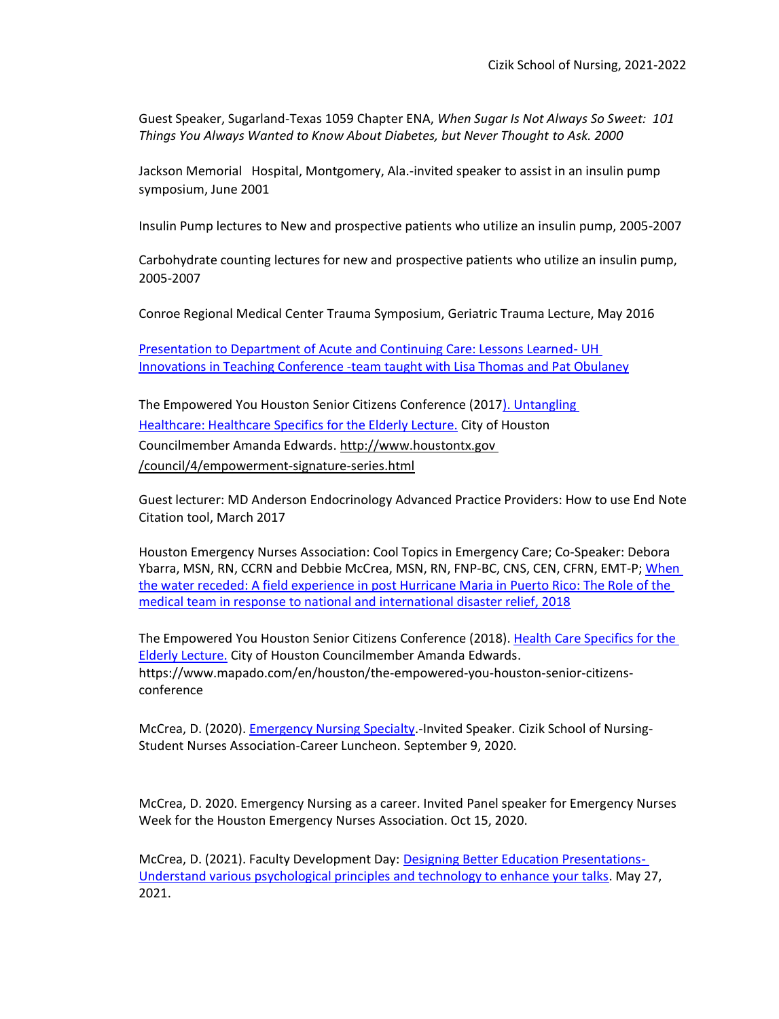Guest Speaker, Sugarland-Texas 1059 Chapter ENA, *When Sugar Is Not Always So Sweet: 101 Things You Always Wanted to Know About Diabetes, but Never Thought to Ask. 2000*

Jackson Memorial Hospital, Montgomery, Ala.-invited speaker to assist in an insulin pump symposium, June 2001

Insulin Pump lectures to New and prospective patients who utilize an insulin pump, 2005-2007

Carbohydrate counting lectures for new and prospective patients who utilize an insulin pump, 2005-2007

Conroe Regional Medical Center Trauma Symposium, Geriatric Trauma Lecture, May 2016

[Presentation to Department of Acute and Continuing Care: Lessons Learned-](https://prezi.com/view/tf2S5F4PTqzBMovPePni/) UH Innovations in Teaching Conference -team [taught with Lisa Thomas and Pat Obulaney](https://prezi.com/view/tf2S5F4PTqzBMovPePni/)

The Empowered You Houston Senior Citizens Conference (201[7\). Untangling](https://www.dropbox.com/s/x1ca6by434chgo1/Empowered%20You%20Senior%20Conference%20for%20attendees.pptx?dl=0)  [Healthcare: Healthcare Specifics for the Elderly Lecture.](https://www.dropbox.com/s/x1ca6by434chgo1/Empowered%20You%20Senior%20Conference%20for%20attendees.pptx?dl=0) City of Houston Councilmember Amanda Edwards[. http://www.houstontx.gov](http://www.houstontx.gov/) /council/4/empowerment-signature-series.html

Guest lecturer: MD Anderson Endocrinology Advanced Practice Providers: How to use End Note Citation tool, March 2017

Houston Emergency Nurses Association: Cool Topics in Emergency Care; Co-Speaker: Debora Ybarra, MSN, RN, CCRN and Debbie McCrea, MSN, RN, FNP-BC, CNS, CEN, CFRN, EMT-P; When [the water receded: A field experience in post Hurricane Maria in Puerto Rico: The Role of the](https://www.dropbox.com/s/mpqmnjjqpg8qk2n/McCrea%2C%20Debbie-%20Disaster%20volunteerism%20info%20and%20links%20for%20Cool%20Topics%20conference.pptx?dl=0)  [medical team in response to national and international disaster relief, 2018](https://www.dropbox.com/s/mpqmnjjqpg8qk2n/McCrea%2C%20Debbie-%20Disaster%20volunteerism%20info%20and%20links%20for%20Cool%20Topics%20conference.pptx?dl=0)

The Empowered You Houston Senior Citizens Conference (2018). Health Care Specifics for the [Elderly Lecture.](https://www.dropbox.com/s/du1pbg5kt8y41my/Empowered%20You%20Senior%20Conference%20Oct%202018.pptx?dl=0) City of Houston Councilmember Amanda Edwards. https://www.mapado.com/en/houston/the-empowered-you-houston-senior-citizensconference

McCrea, D. (2020). [Emergency Nursing Specialty.](https://www.dropbox.com/s/esl6cp67tsyarpv/Career%20in%20Emergency%20Nursiing.ppt?dl=0)-Invited Speaker. Cizik School of Nursing-Student Nurses Association-Career Luncheon. September 9, 2020.

McCrea, D. 2020. Emergency Nursing as a career. Invited Panel speaker for Emergency Nurses Week for the Houston Emergency Nurses Association. Oct 15, 2020.

McCrea, D. (2021). Faculty Development Day: [Designing Better Education Presentations-](https://www.dropbox.com/s/u7ev6uzph4ifotl/Designing%20Better%20Educational%20Presentations%20fo%20HEFP%20May%202021.pptx?dl=0)[Understand various psychological principles and technology to enhance your talks.](https://www.dropbox.com/s/u7ev6uzph4ifotl/Designing%20Better%20Educational%20Presentations%20fo%20HEFP%20May%202021.pptx?dl=0) May 27, 2021.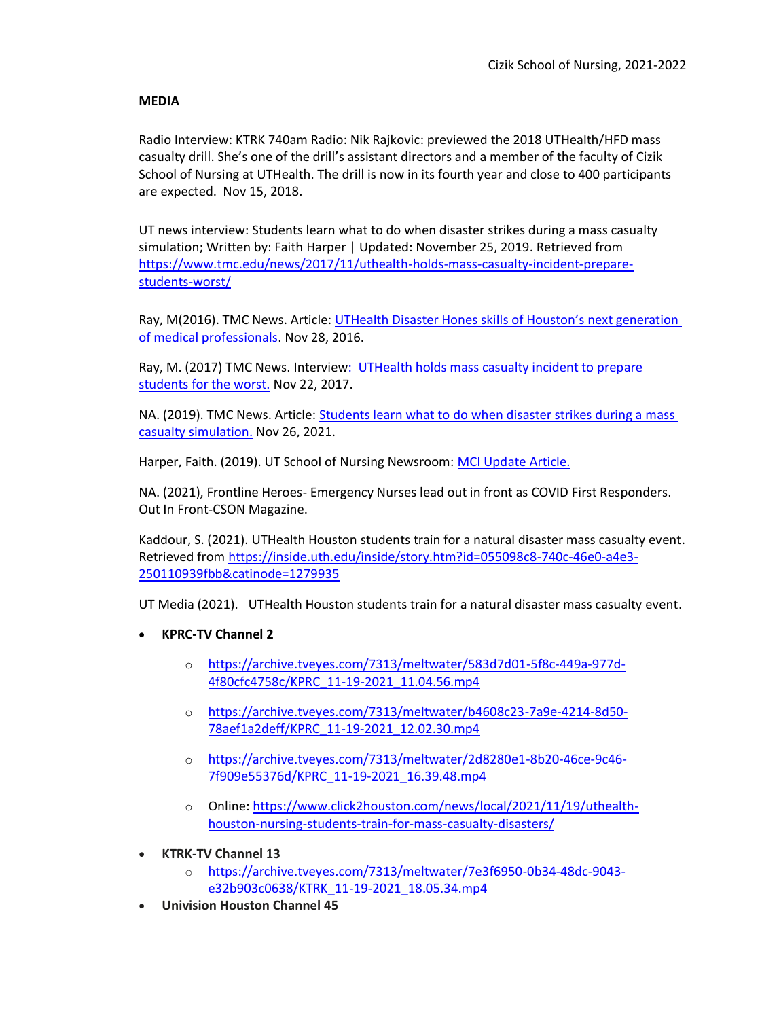### **MEDIA**

Radio Interview: KTRK 740am Radio: Nik Rajkovic: previewed the 2018 UTHealth/HFD mass casualty drill. She's one of the drill's assistant directors and a member of the faculty of Cizik School of Nursing at UTHealth. The drill is now in its fourth year and close to 400 participants are expected. Nov 15, 2018.

UT news interview: Students learn what to do when disaster strikes during a mass casualty simulation; Written by: Faith Harper | Updated: November 25, 2019. Retrieved from [https://www.tmc.edu/news/2017/11/uthealth-holds-mass-casualty-incident-prepare](https://www.tmc.edu/news/2017/11/uthealth-holds-mass-casualty-incident-prepare-students-worst/)[students-worst/](https://www.tmc.edu/news/2017/11/uthealth-holds-mass-casualty-incident-prepare-students-worst/)

Ray, M(2016). TMC News. Article: [UTHealth Disaster Hones skills of Houston's next generation](https://www.tmc.edu/news/2016/11/uthealth-disaster-drill-hones-skills-houstons-next-generation-medical-professionals/)  [of medical professionals.](https://www.tmc.edu/news/2016/11/uthealth-disaster-drill-hones-skills-houstons-next-generation-medical-professionals/) Nov 28, 2016.

Ray, M. (2017) TMC News. Intervie[w: UTHealth holds mass casualty incident to prepare](https://www.tmc.edu/news/2017/11/uthealth-holds-mass-casualty-incident-prepare-students-worst/)  [students for the worst.](https://www.tmc.edu/news/2017/11/uthealth-holds-mass-casualty-incident-prepare-students-worst/) Nov 22, 2017.

NA. (2019). TMC News. Article: [Students learn what to do when disaster strikes during a mass](https://www.tmc.edu/news/2019/11/students-learn-what-to-do-when-disaster-strikes-during-a-mass-casualty-simulation/)  [casualty simulation.](https://www.tmc.edu/news/2019/11/students-learn-what-to-do-when-disaster-strikes-during-a-mass-casualty-simulation/) Nov 26, 2021.

Harper, Faith. (2019). UT School of Nursing Newsroom: [MCI Update Article.](https://nursing.uth.edu/news/detail.htm?id=16175963-cf0c-42c7-b9a6-eb11841d9e3f)

NA. (2021), Frontline Heroes- Emergency Nurses lead out in front as COVID First Responders. Out In Front-CSON Magazine.

Kaddour, S. (2021). UTHealth Houston students train for a natural disaster mass casualty event. Retrieved from [https://inside.uth.edu/inside/story.htm?id=055098c8-740c-46e0-a4e3-](https://inside.uth.edu/inside/story.htm?id=055098c8-740c-46e0-a4e3-250110939fbb&catinode=1279935) [250110939fbb&catinode=1279935](https://inside.uth.edu/inside/story.htm?id=055098c8-740c-46e0-a4e3-250110939fbb&catinode=1279935)

UT Media (2021). UTHealth Houston students train for a natural disaster mass casualty event.

- **KPRC-TV Channel 2**
	- o [https://archive.tveyes.com/7313/meltwater/583d7d01-5f8c-449a-977d-](https://archive.tveyes.com/7313/meltwater/583d7d01-5f8c-449a-977d-4f80cfc4758c/KPRC_11-19-2021_11.04.56.mp4)[4f80cfc4758c/KPRC\\_11-19-2021\\_11.04.56.mp4](https://archive.tveyes.com/7313/meltwater/583d7d01-5f8c-449a-977d-4f80cfc4758c/KPRC_11-19-2021_11.04.56.mp4)
	- o [https://archive.tveyes.com/7313/meltwater/b4608c23-7a9e-4214-8d50-](https://archive.tveyes.com/7313/meltwater/b4608c23-7a9e-4214-8d50-78aef1a2deff/KPRC_11-19-2021_12.02.30.mp4) [78aef1a2deff/KPRC\\_11-19-2021\\_12.02.30.mp4](https://archive.tveyes.com/7313/meltwater/b4608c23-7a9e-4214-8d50-78aef1a2deff/KPRC_11-19-2021_12.02.30.mp4)
	- o [https://archive.tveyes.com/7313/meltwater/2d8280e1-8b20-46ce-9c46-](https://archive.tveyes.com/7313/meltwater/2d8280e1-8b20-46ce-9c46-7f909e55376d/KPRC_11-19-2021_16.39.48.mp4) [7f909e55376d/KPRC\\_11-19-2021\\_16.39.48.mp4](https://archive.tveyes.com/7313/meltwater/2d8280e1-8b20-46ce-9c46-7f909e55376d/KPRC_11-19-2021_16.39.48.mp4)
	- o Online: [https://www.click2houston.com/news/local/2021/11/19/uthealth](https://www.click2houston.com/news/local/2021/11/19/uthealth-houston-nursing-students-train-for-mass-casualty-disasters/)[houston-nursing-students-train-for-mass-casualty-disasters/](https://www.click2houston.com/news/local/2021/11/19/uthealth-houston-nursing-students-train-for-mass-casualty-disasters/)
- **KTRK-TV Channel 13**
	- o [https://archive.tveyes.com/7313/meltwater/7e3f6950-0b34-48dc-9043](https://archive.tveyes.com/7313/meltwater/7e3f6950-0b34-48dc-9043-e32b903c0638/KTRK_11-19-2021_18.05.34.mp4) [e32b903c0638/KTRK\\_11-19-2021\\_18.05.34.mp4](https://archive.tveyes.com/7313/meltwater/7e3f6950-0b34-48dc-9043-e32b903c0638/KTRK_11-19-2021_18.05.34.mp4)
- **Univision Houston Channel 45**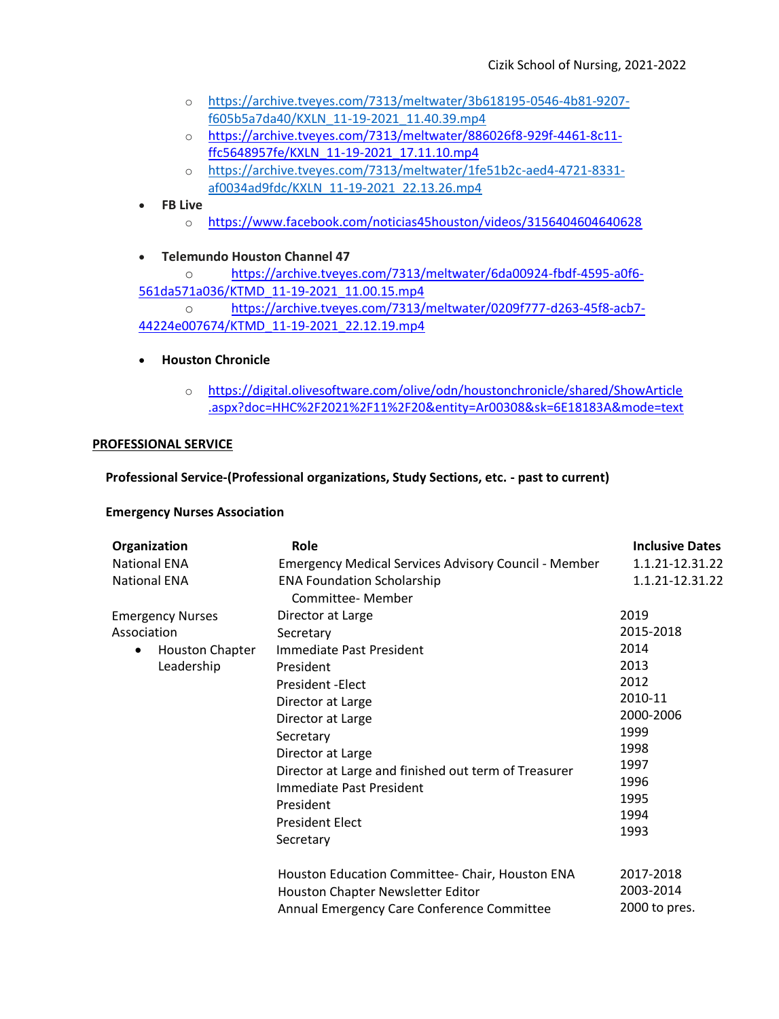- o [https://archive.tveyes.com/7313/meltwater/3b618195-0546-4b81-9207](https://archive.tveyes.com/7313/meltwater/3b618195-0546-4b81-9207-f605b5a7da40/KXLN_11-19-2021_11.40.39.mp4) [f605b5a7da40/KXLN\\_11-19-2021\\_11.40.39.mp4](https://archive.tveyes.com/7313/meltwater/3b618195-0546-4b81-9207-f605b5a7da40/KXLN_11-19-2021_11.40.39.mp4)
- o [https://archive.tveyes.com/7313/meltwater/886026f8-929f-4461-8c11](https://archive.tveyes.com/7313/meltwater/886026f8-929f-4461-8c11-ffc5648957fe/KXLN_11-19-2021_17.11.10.mp4) [ffc5648957fe/KXLN\\_11-19-2021\\_17.11.10.mp4](https://archive.tveyes.com/7313/meltwater/886026f8-929f-4461-8c11-ffc5648957fe/KXLN_11-19-2021_17.11.10.mp4)
- o [https://archive.tveyes.com/7313/meltwater/1fe51b2c-aed4-4721-8331](https://archive.tveyes.com/7313/meltwater/1fe51b2c-aed4-4721-8331-af0034ad9fdc/KXLN_11-19-2021_22.13.26.mp4) [af0034ad9fdc/KXLN\\_11-19-2021\\_22.13.26.mp4](https://archive.tveyes.com/7313/meltwater/1fe51b2c-aed4-4721-8331-af0034ad9fdc/KXLN_11-19-2021_22.13.26.mp4)
- **FB Live**
	- o <https://www.facebook.com/noticias45houston/videos/3156404604640628>
- **Telemundo Houston Channel 47** o [https://archive.tveyes.com/7313/meltwater/6da00924-fbdf-4595-a0f6-](https://archive.tveyes.com/7313/meltwater/6da00924-fbdf-4595-a0f6-561da571a036/KTMD_11-19-2021_11.00.15.mp4) [561da571a036/KTMD\\_11-19-2021\\_11.00.15.mp4](https://archive.tveyes.com/7313/meltwater/6da00924-fbdf-4595-a0f6-561da571a036/KTMD_11-19-2021_11.00.15.mp4) o [https://archive.tveyes.com/7313/meltwater/0209f777-d263-45f8-acb7-](https://archive.tveyes.com/7313/meltwater/0209f777-d263-45f8-acb7-44224e007674/KTMD_11-19-2021_22.12.19.mp4) [44224e007674/KTMD\\_11-19-2021\\_22.12.19.mp4](https://archive.tveyes.com/7313/meltwater/0209f777-d263-45f8-acb7-44224e007674/KTMD_11-19-2021_22.12.19.mp4)
- **Houston Chronicle**
	- o [https://digital.olivesoftware.com/olive/odn/houstonchronicle/shared/ShowArticle](https://digital.olivesoftware.com/olive/odn/houstonchronicle/shared/ShowArticle.aspx?doc=HHC%2F2021%2F11%2F20&entity=Ar00308&sk=6E18183A&mode=text) [.aspx?doc=HHC%2F2021%2F11%2F20&entity=Ar00308&sk=6E18183A&mode=text](https://digital.olivesoftware.com/olive/odn/houstonchronicle/shared/ShowArticle.aspx?doc=HHC%2F2021%2F11%2F20&entity=Ar00308&sk=6E18183A&mode=text)

### **PROFESSIONAL SERVICE**

**Professional Service-(Professional organizations, Study Sections, etc. - past to current)**

#### **Emergency Nurses Association**

| Organization                        | <b>Role</b>                                                                                                                        | <b>Inclusive Dates</b>                  |
|-------------------------------------|------------------------------------------------------------------------------------------------------------------------------------|-----------------------------------------|
| <b>National ENA</b>                 | <b>Emergency Medical Services Advisory Council - Member</b>                                                                        | 1.1.21-12.31.22                         |
| <b>National ENA</b>                 | <b>ENA Foundation Scholarship</b><br>Committee- Member                                                                             | 1.1.21-12.31.22                         |
| <b>Emergency Nurses</b>             | Director at Large                                                                                                                  | 2019                                    |
| Association                         | Secretary                                                                                                                          | 2015-2018                               |
| <b>Houston Chapter</b><br>$\bullet$ | Immediate Past President                                                                                                           | 2014                                    |
| Leadership                          | President                                                                                                                          | 2013                                    |
|                                     | President - Elect                                                                                                                  | 2012                                    |
|                                     | Director at Large                                                                                                                  | 2010-11                                 |
|                                     | Director at Large                                                                                                                  | 2000-2006                               |
|                                     | Secretary                                                                                                                          | 1999                                    |
|                                     | Director at Large                                                                                                                  | 1998                                    |
|                                     | Director at Large and finished out term of Treasurer                                                                               | 1997                                    |
|                                     | Immediate Past President                                                                                                           | 1996                                    |
|                                     | President                                                                                                                          | 1995                                    |
|                                     | <b>President Elect</b>                                                                                                             | 1994                                    |
|                                     | Secretary                                                                                                                          | 1993                                    |
|                                     | Houston Education Committee- Chair, Houston ENA<br>Houston Chapter Newsletter Editor<br>Annual Emergency Care Conference Committee | 2017-2018<br>2003-2014<br>2000 to pres. |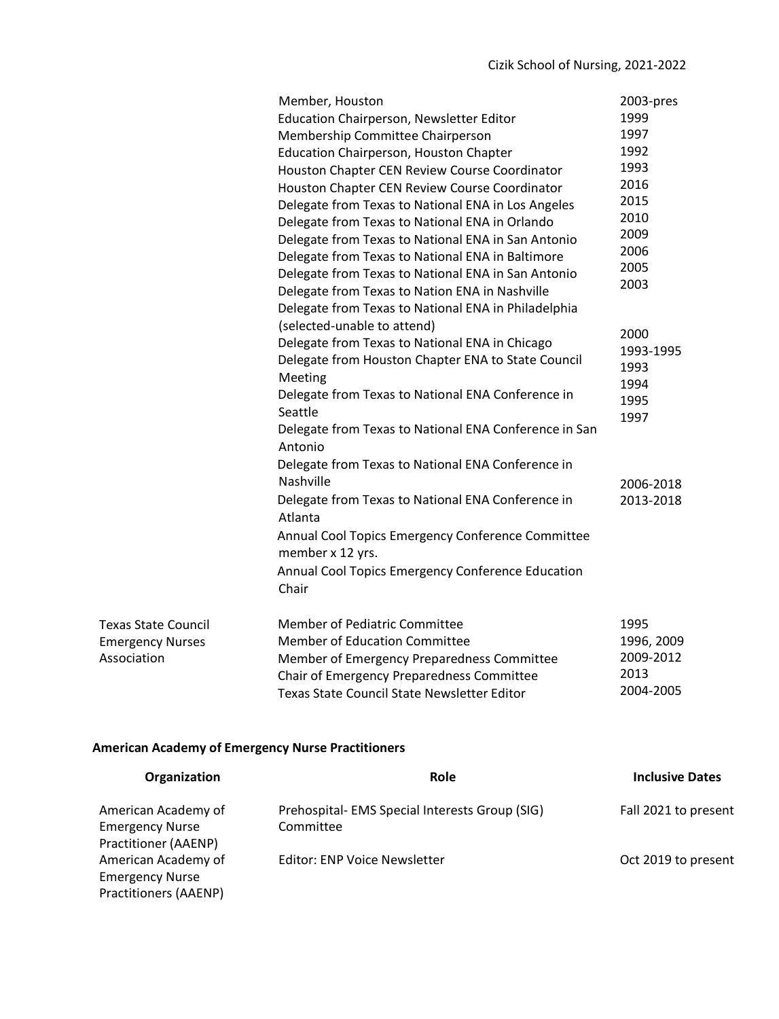|                                                       | Member, Houston<br>Education Chairperson, Newsletter Editor                                                                                                  | 2003-pres<br>1999              |
|-------------------------------------------------------|--------------------------------------------------------------------------------------------------------------------------------------------------------------|--------------------------------|
|                                                       | Membership Committee Chairperson                                                                                                                             | 1997                           |
|                                                       | <b>Education Chairperson, Houston Chapter</b>                                                                                                                | 1992                           |
|                                                       | Houston Chapter CEN Review Course Coordinator                                                                                                                | 1993                           |
|                                                       | Houston Chapter CEN Review Course Coordinator<br>Delegate from Texas to National ENA in Los Angeles<br>Delegate from Texas to National ENA in Orlando        | 2016<br>2015<br>2010           |
|                                                       | Delegate from Texas to National ENA in San Antonio<br>Delegate from Texas to National ENA in Baltimore<br>Delegate from Texas to National ENA in San Antonio | 2009<br>2006<br>2005           |
|                                                       | Delegate from Texas to Nation ENA in Nashville<br>Delegate from Texas to National ENA in Philadelphia<br>(selected-unable to attend)                         | 2003                           |
|                                                       | Delegate from Texas to National ENA in Chicago<br>Delegate from Houston Chapter ENA to State Council<br>Meeting                                              | 2000<br>1993-1995<br>1993      |
|                                                       | Delegate from Texas to National ENA Conference in<br>Seattle                                                                                                 | 1994<br>1995<br>1997           |
|                                                       | Delegate from Texas to National ENA Conference in San<br>Antonio                                                                                             |                                |
|                                                       | Delegate from Texas to National ENA Conference in<br>Nashville                                                                                               | 2006-2018                      |
|                                                       | Delegate from Texas to National ENA Conference in<br>Atlanta                                                                                                 | 2013-2018                      |
|                                                       | Annual Cool Topics Emergency Conference Committee<br>member x 12 yrs.                                                                                        |                                |
|                                                       | Annual Cool Topics Emergency Conference Education<br>Chair                                                                                                   |                                |
| <b>Texas State Council</b><br><b>Emergency Nurses</b> | <b>Member of Pediatric Committee</b><br><b>Member of Education Committee</b>                                                                                 | 1995<br>1996, 2009             |
| Association                                           | Member of Emergency Preparedness Committee<br>Chair of Emergency Preparedness Committee<br>Texas State Council State Newsletter Editor                       | 2009-2012<br>2013<br>2004-2005 |

### **American Academy of Emergency Nurse Practitioners**

| Organization                 | Role                                           | <b>Inclusive Dates</b> |
|------------------------------|------------------------------------------------|------------------------|
| American Academy of          | Prehospital- EMS Special Interests Group (SIG) | Fall 2021 to present   |
| <b>Emergency Nurse</b>       | Committee                                      |                        |
| <b>Practitioner (AAENP)</b>  |                                                |                        |
| American Academy of          | <b>Editor: ENP Voice Newsletter</b>            | Oct 2019 to present    |
| <b>Emergency Nurse</b>       |                                                |                        |
| <b>Practitioners (AAENP)</b> |                                                |                        |

Texas State Council State Newsletter Editor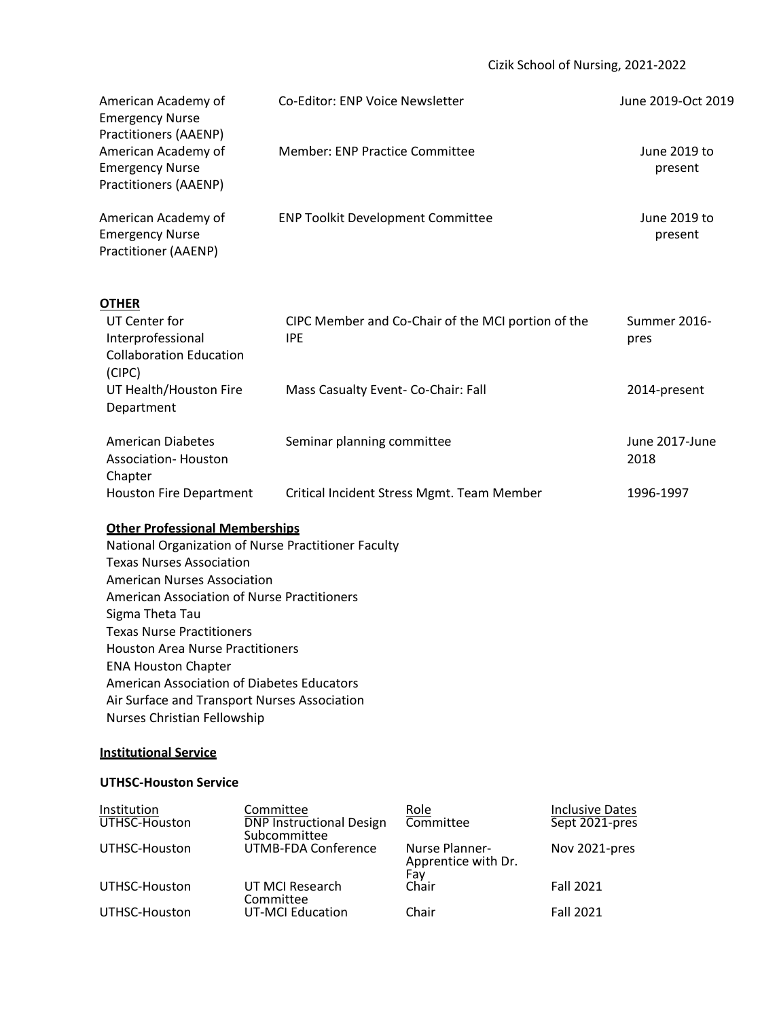### Cizik School of Nursing, 2021-2022

| American Academy of<br><b>Emergency Nurse</b>                                                                             | Co-Editor: ENP Voice Newsletter                                  | June 2019-Oct 2019      |
|---------------------------------------------------------------------------------------------------------------------------|------------------------------------------------------------------|-------------------------|
| Practitioners (AAENP)<br>American Academy of<br><b>Emergency Nurse</b><br>Practitioners (AAENP)                           | <b>Member: ENP Practice Committee</b>                            | June 2019 to<br>present |
| American Academy of<br><b>Emergency Nurse</b><br>Practitioner (AAENP)                                                     | <b>ENP Toolkit Development Committee</b>                         | June 2019 to<br>present |
| <b>OTHER</b>                                                                                                              |                                                                  |                         |
| UT Center for<br>Interprofessional<br><b>Collaboration Education</b><br>(CIPC)                                            | CIPC Member and Co-Chair of the MCI portion of the<br><b>IPE</b> | Summer 2016-<br>pres    |
| UT Health/Houston Fire<br>Department                                                                                      | Mass Casualty Event- Co-Chair: Fall                              | 2014-present            |
| <b>American Diabetes</b><br><b>Association-Houston</b><br>Chapter                                                         | Seminar planning committee                                       | June 2017-June<br>2018  |
| <b>Houston Fire Department</b>                                                                                            | Critical Incident Stress Mgmt. Team Member                       | 1996-1997               |
| <b>Other Professional Memberships</b><br>National Organization of Nurse Practitioner Faculty<br>Texas Nurses Association. |                                                                  |                         |

Texas Nurses Association American Nurses Association American Association of Nurse Practitioners Sigma Theta Tau Texas Nurse Practitioners Houston Area Nurse Practitioners ENA Houston Chapter American Association of Diabetes Educators Air Surface and Transport Nurses Association Nurses Christian Fellowship

### **Institutional Service**

#### **UTHSC-Houston Service**

| Institution   | Committee                                       | <u>Role</u>                                  | <b>Inclusive Dates</b> |
|---------------|-------------------------------------------------|----------------------------------------------|------------------------|
| UTHSC-Houston | <b>DNP Instructional Design</b><br>Subcommittee | Committee                                    | Sept 2021-pres         |
| UTHSC-Houston | UTMB-FDA Conference                             | Nurse Planner-<br>Apprentice with Dr.<br>Fay | Nov 2021-pres          |
| UTHSC-Houston | UT MCI Research<br>Committee                    | Chair                                        | <b>Fall 2021</b>       |
| UTHSC-Houston | <b>UT-MCI Education</b>                         | Chair                                        | <b>Fall 2021</b>       |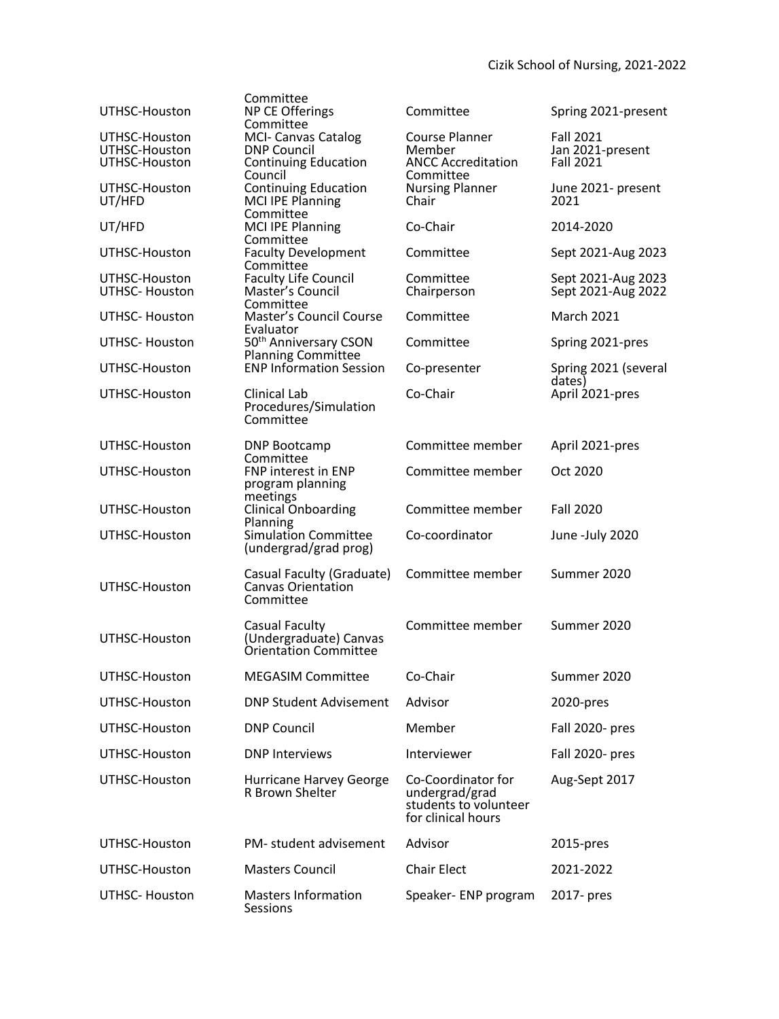|                                | Committee                                                   |                                             |                                      |
|--------------------------------|-------------------------------------------------------------|---------------------------------------------|--------------------------------------|
| UTHSC-Houston                  | <b>NP CE Offerings</b><br>Committee                         | Committee                                   | Spring 2021-present                  |
| UTHSC-Houston                  | <b>MCI- Canvas Catalog</b>                                  | Course Planner                              | <b>Fall 2021</b>                     |
| UTHSC-Houston<br>UTHSC-Houston | <b>DNP Council</b><br><b>Continuing Education</b>           | Member<br><b>ANCC Accreditation</b>         | Jan 2021-present<br><b>Fall 2021</b> |
|                                | Council                                                     | Committee                                   |                                      |
| UTHSC-Houston<br>UT/HFD        | <b>Continuing Education</b><br><b>MCI IPE Planning</b>      | <b>Nursing Planner</b><br>Chair             | June 2021- present<br>2021           |
|                                | Committee                                                   |                                             |                                      |
| UT/HFD                         | <b>MCI IPE Planning</b><br>Committee                        | Co-Chair                                    | 2014-2020                            |
| UTHSC-Houston                  | <b>Faculty Development</b>                                  | Committee                                   | Sept 2021-Aug 2023                   |
| UTHSC-Houston                  | Committee<br><b>Faculty Life Council</b>                    | Committee                                   | Sept 2021-Aug 2023                   |
| <b>UTHSC- Houston</b>          | Master's Council                                            | Chairperson                                 | Sept 2021-Aug 2022                   |
|                                | Committee                                                   |                                             |                                      |
| UTHSC-Houston                  | Master's Council Course<br>Evaluator                        | Committee                                   | <b>March 2021</b>                    |
| <b>UTHSC- Houston</b>          | 50 <sup>th</sup> Anniversary CSON                           | Committee                                   | Spring 2021-pres                     |
| UTHSC-Houston                  | <b>Planning Committee</b><br><b>ENP Information Session</b> | Co-presenter                                | Spring 2021 (several                 |
|                                |                                                             |                                             | dates)                               |
| UTHSC-Houston                  | Clinical Lab<br>Procedures/Simulation                       | Co-Chair                                    | April 2021-pres                      |
|                                | Committee                                                   |                                             |                                      |
| UTHSC-Houston                  | <b>DNP Bootcamp</b>                                         | Committee member                            | April 2021-pres                      |
|                                | Committee                                                   |                                             |                                      |
| UTHSC-Houston                  | <b>FNP interest in ENP</b><br>program planning              | Committee member                            | Oct 2020                             |
|                                | meetings                                                    |                                             |                                      |
| UTHSC-Houston                  | <b>Clinical Onboarding</b><br>Planning                      | Committee member                            | <b>Fall 2020</b>                     |
| UTHSC-Houston                  | Simulation Committee                                        | Co-coordinator                              | June -July 2020                      |
|                                | (undergrad/grad prog)                                       |                                             |                                      |
|                                | Casual Faculty (Graduate)                                   | Committee member                            | Summer 2020                          |
| UTHSC-Houston                  | <b>Canvas Orientation</b><br>Committee                      |                                             |                                      |
|                                |                                                             |                                             |                                      |
| UTHSC-Houston                  | <b>Casual Faculty</b><br>(Undergraduate) Canvas             | Committee member                            | Summer 2020                          |
|                                | Orientation Committee                                       |                                             |                                      |
| UTHSC-Houston                  | <b>MEGASIM Committee</b>                                    | Co-Chair                                    | Summer 2020                          |
|                                |                                                             |                                             |                                      |
| UTHSC-Houston                  | <b>DNP Student Advisement</b>                               | Advisor                                     | 2020-pres                            |
| UTHSC-Houston                  | <b>DNP Council</b>                                          | Member                                      | Fall 2020- pres                      |
| UTHSC-Houston                  | <b>DNP Interviews</b>                                       | Interviewer                                 | Fall 2020- pres                      |
| UTHSC-Houston                  | Hurricane Harvey George                                     | Co-Coordinator for                          | Aug-Sept 2017                        |
|                                | R Brown Shelter                                             | undergrad/grad                              |                                      |
|                                |                                                             | students to volunteer<br>for clinical hours |                                      |
|                                |                                                             |                                             |                                      |
| UTHSC-Houston                  | PM- student advisement                                      | Advisor                                     | 2015-pres                            |
| UTHSC-Houston                  | <b>Masters Council</b>                                      | <b>Chair Elect</b>                          | 2021-2022                            |
| <b>UTHSC- Houston</b>          | <b>Masters Information</b><br>Sessions                      | Speaker- ENP program                        | 2017- pres                           |
|                                |                                                             |                                             |                                      |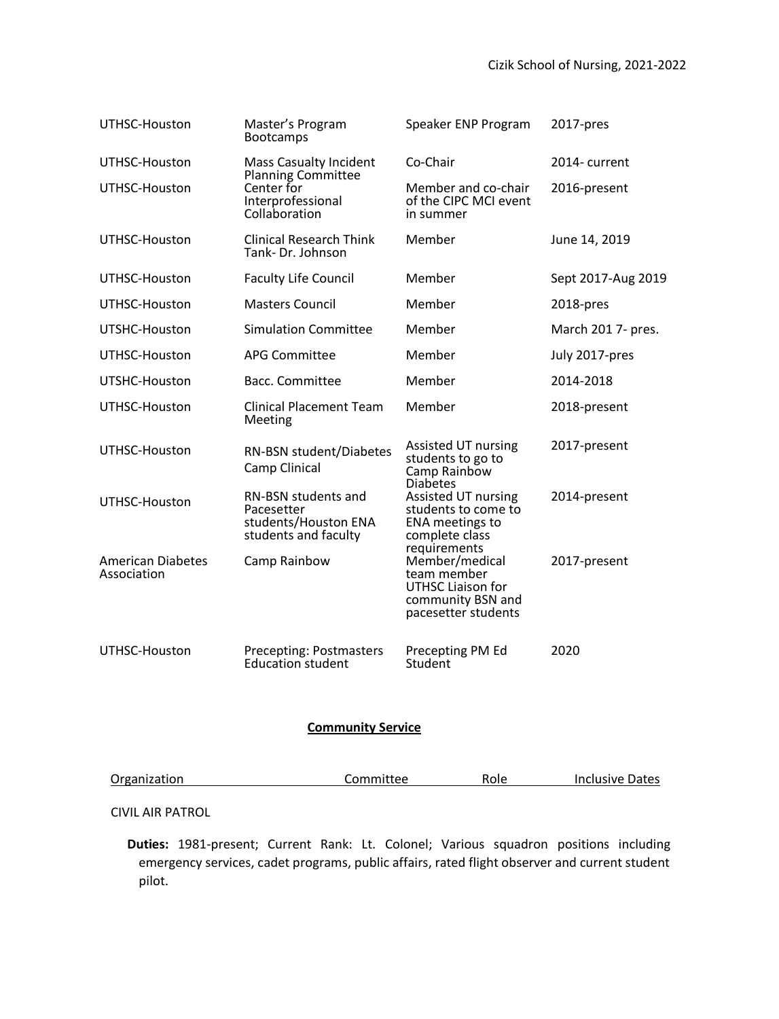| UTHSC-Houston                           | Master's Program<br><b>Bootcamps</b>                                              | Speaker ENP Program                                                                                    | 2017-pres          |
|-----------------------------------------|-----------------------------------------------------------------------------------|--------------------------------------------------------------------------------------------------------|--------------------|
| UTHSC-Houston                           | <b>Mass Casualty Incident</b>                                                     | Co-Chair                                                                                               | 2014-current       |
| UTHSC-Houston                           | Planning Committee<br>Center for<br>Interprofessional<br>Collaboration            | Member and co-chair<br>of the CIPC MCI event<br>in summer                                              | 2016-present       |
| UTHSC-Houston                           | <b>Clinical Research Think</b><br>Tank- Dr. Johnson                               | Member                                                                                                 | June 14, 2019      |
| UTHSC-Houston                           | <b>Faculty Life Council</b>                                                       | Member                                                                                                 | Sept 2017-Aug 2019 |
| UTHSC-Houston                           | <b>Masters Council</b>                                                            | Member                                                                                                 | 2018-pres          |
| UTSHC-Houston                           | <b>Simulation Committee</b>                                                       | Member                                                                                                 | March 201 7- pres. |
| UTHSC-Houston                           | <b>APG Committee</b>                                                              | Member                                                                                                 | July 2017-pres     |
| UTSHC-Houston                           | Bacc. Committee                                                                   | Member                                                                                                 | 2014-2018          |
| UTHSC-Houston                           | <b>Clinical Placement Team</b><br>Meeting                                         | Member                                                                                                 | 2018-present       |
| UTHSC-Houston                           | RN-BSN student/Diabetes<br>Camp Clinical                                          | Assisted UT nursing<br>students to go to<br>Camp Rainbow<br><b>Diabetes</b>                            | 2017-present       |
| UTHSC-Houston                           | RN-BSN students and<br>Pacesetter<br>students/Houston ENA<br>students and faculty | Assisted UT nursing<br>students to come to<br><b>ENA meetings to</b><br>complete class<br>requirements | 2014-present       |
| <b>American Diabetes</b><br>Association | Camp Rainbow                                                                      | Member/medical<br>team member<br>UTHSC Liaison for<br>community BSN and<br>pacesetter students         | 2017-present       |
| UTHSC-Houston                           | Precepting: Postmasters<br><b>Education student</b>                               | Precepting PM Ed<br>Student                                                                            | 2020               |

### **Community Service**

| Organization | Committee | Role | Inclusive Dates |
|--------------|-----------|------|-----------------|
|              |           |      |                 |

CIVIL AIR PATROL

**Duties:** 1981-present; Current Rank: Lt. Colonel; Various squadron positions including emergency services, cadet programs, public affairs, rated flight observer and current student pilot.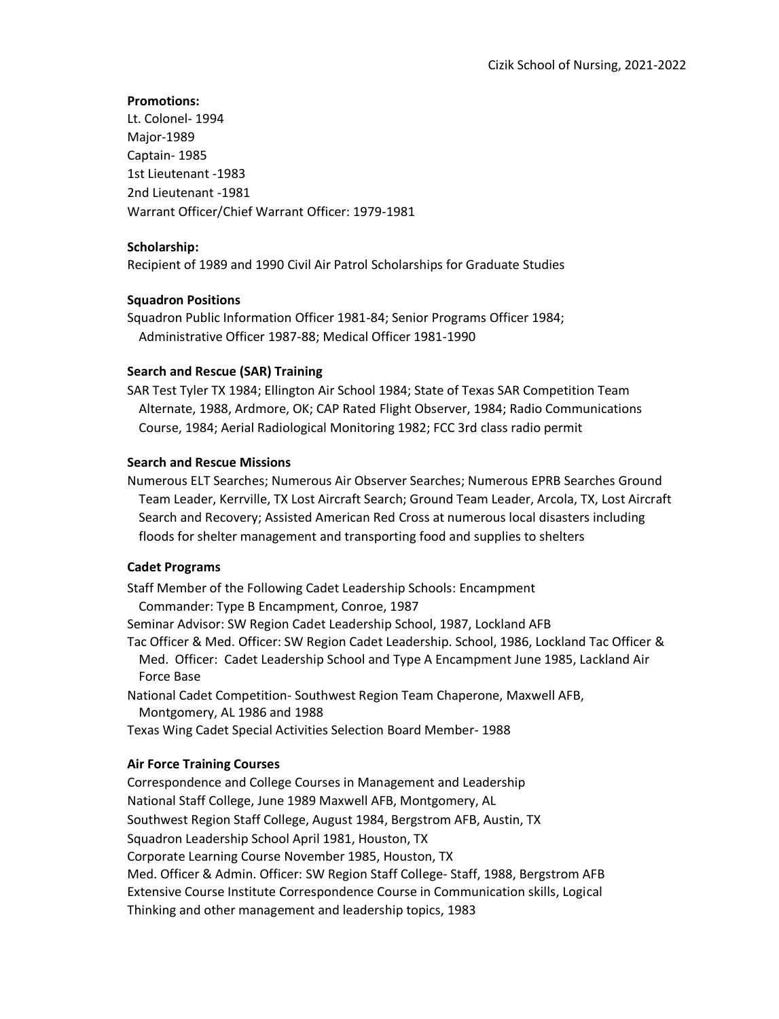**Promotions:** Lt. Colonel- 1994 Major-1989 Captain- 1985 1st Lieutenant -1983 2nd Lieutenant -1981 Warrant Officer/Chief Warrant Officer: 1979-1981

### **Scholarship:**

Recipient of 1989 and 1990 Civil Air Patrol Scholarships for Graduate Studies

#### **Squadron Positions**

Squadron Public Information Officer 1981-84; Senior Programs Officer 1984; Administrative Officer 1987-88; Medical Officer 1981-1990

#### **Search and Rescue (SAR) Training**

SAR Test Tyler TX 1984; Ellington Air School 1984; State of Texas SAR Competition Team Alternate, 1988, Ardmore, OK; CAP Rated Flight Observer, 1984; Radio Communications Course, 1984; Aerial Radiological Monitoring 1982; FCC 3rd class radio permit

#### **Search and Rescue Missions**

Numerous ELT Searches; Numerous Air Observer Searches; Numerous EPRB Searches Ground Team Leader, Kerrville, TX Lost Aircraft Search; Ground Team Leader, Arcola, TX, Lost Aircraft Search and Recovery; Assisted American Red Cross at numerous local disasters including floods for shelter management and transporting food and supplies to shelters

#### **Cadet Programs**

Staff Member of the Following Cadet Leadership Schools: Encampment Commander: Type B Encampment, Conroe, 1987 Seminar Advisor: SW Region Cadet Leadership School, 1987, Lockland AFB Tac Officer & Med. Officer: SW Region Cadet Leadership. School, 1986, Lockland Tac Officer & Med. Officer: Cadet Leadership School and Type A Encampment June 1985, Lackland Air Force Base National Cadet Competition- Southwest Region Team Chaperone, Maxwell AFB,

Montgomery, AL 1986 and 1988

Texas Wing Cadet Special Activities Selection Board Member- 1988

### **Air Force Training Courses**

Correspondence and College Courses in Management and Leadership National Staff College, June 1989 Maxwell AFB, Montgomery, AL Southwest Region Staff College, August 1984, Bergstrom AFB, Austin, TX Squadron Leadership School April 1981, Houston, TX Corporate Learning Course November 1985, Houston, TX Med. Officer & Admin. Officer: SW Region Staff College- Staff, 1988, Bergstrom AFB Extensive Course Institute Correspondence Course in Communication skills, Logical Thinking and other management and leadership topics, 1983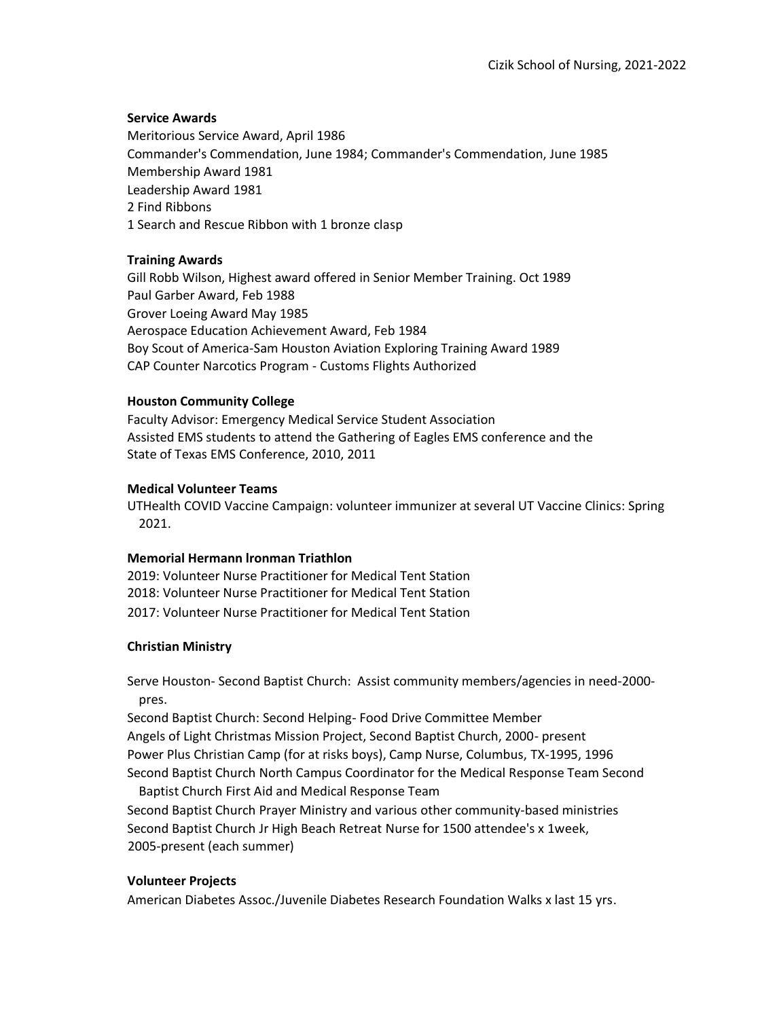#### **Service Awards**

Meritorious Service Award, April 1986 Commander's Commendation, June 1984; Commander's Commendation, June 1985 Membership Award 1981 Leadership Award 1981 2 Find Ribbons 1 Search and Rescue Ribbon with 1 bronze clasp

### **Training Awards**

Gill Robb Wilson, Highest award offered in Senior Member Training. Oct 1989 Paul Garber Award, Feb 1988 Grover Loeing Award May 1985 Aerospace Education Achievement Award, Feb 1984 Boy Scout of America-Sam Houston Aviation Exploring Training Award 1989 CAP Counter Narcotics Program - Customs Flights Authorized

### **Houston Community College**

Faculty Advisor: Emergency Medical Service Student Association Assisted EMS students to attend the Gathering of Eagles EMS conference and the State of Texas EMS Conference, 2010, 2011

### **Medical Volunteer Teams**

UTHealth COVID Vaccine Campaign: volunteer immunizer at several UT Vaccine Clinics: Spring 2021.

#### **Memorial Hermann lronman Triathlon**

2019: Volunteer Nurse Practitioner for Medical Tent Station 2018: Volunteer Nurse Practitioner for Medical Tent Station 2017: Volunteer Nurse Practitioner for Medical Tent Station

### **Christian Ministry**

Serve Houston- Second Baptist Church: Assist community members/agencies in need-2000 pres.

Second Baptist Church: Second Helping- Food Drive Committee Member Angels of Light Christmas Mission Project, Second Baptist Church, 2000- present Power Plus Christian Camp (for at risks boys), Camp Nurse, Columbus, TX-1995, 1996 Second Baptist Church North Campus Coordinator for the Medical Response Team Second

Baptist Church First Aid and Medical Response Team Second Baptist Church Prayer Ministry and various other community-based ministries Second Baptist Church Jr High Beach Retreat Nurse for 1500 attendee's x 1week, 2005-present (each summer)

#### **Volunteer Projects**

American Diabetes Assoc./Juvenile Diabetes Research Foundation Walks x last 15 yrs.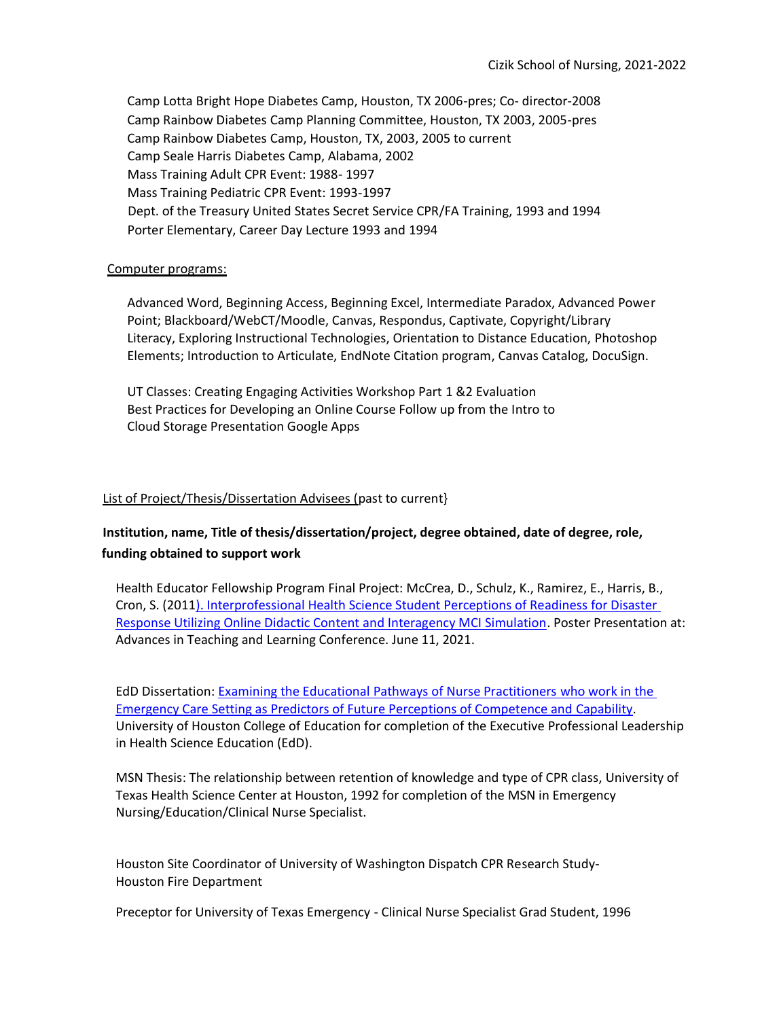Camp Lotta Bright Hope Diabetes Camp, Houston, TX 2006-pres; Co- director-2008 Camp Rainbow Diabetes Camp Planning Committee, Houston, TX 2003, 2005-pres Camp Rainbow Diabetes Camp, Houston, TX, 2003, 2005 to current Camp Seale Harris Diabetes Camp, Alabama, 2002 Mass Training Adult CPR Event: 1988- 1997 Mass Training Pediatric CPR Event: 1993-1997 Dept. of the Treasury United States Secret Service CPR/FA Training, 1993 and 1994 Porter Elementary, Career Day Lecture 1993 and 1994

#### Computer programs:

Advanced Word, Beginning Access, Beginning Excel, Intermediate Paradox, Advanced Power Point; Blackboard/WebCT/Moodle, Canvas, Respondus, Captivate, Copyright/Library Literacy, Exploring Instructional Technologies, Orientation to Distance Education, Photoshop Elements; Introduction to Articulate, EndNote Citation program, Canvas Catalog, DocuSign.

UT Classes: Creating Engaging Activities Workshop Part 1 &2 Evaluation Best Practices for Developing an Online Course Follow up from the Intro to Cloud Storage Presentation Google Apps

#### List of Project/Thesis/Dissertation Advisees (past to current}

### **Institution, name, Title of thesis/dissertation/project, degree obtained, date of degree, role, funding obtained to support work**

Health Educator Fellowship Program Final Project: McCrea, D., Schulz, K., Ramirez, E., Harris, B., Cron, S. (201[1\). Interprofessional Health Science Student Perceptions of Readiness for Disaster](https://www.dropbox.com/s/mvdh4d38ml8utam/Advances%20in%20Teaching%20and%20Learning%20Conference%202021%20POSTER-%20McCrea%2C%20Deb-%20with%20Recording.pptx?dl=0)  [Response Utilizing Online Didactic Content and Interagency MCI Simulation.](https://www.dropbox.com/s/mvdh4d38ml8utam/Advances%20in%20Teaching%20and%20Learning%20Conference%202021%20POSTER-%20McCrea%2C%20Deb-%20with%20Recording.pptx?dl=0) Poster Presentation at: Advances in Teaching and Learning Conference. June 11, 2021.

EdD Dissertation: Examining the Educational [Pathways of Nurse Practitioners](https://www.dropbox.com/s/t8h2f617kehmw7s/McCrea%2C%20Deborah-%20dissertation%20chapter%201-5%20rev%206.2.2019%20version%207.docx?dl=0) who work in the Emergency Care Setting as Predictors of Future [Perceptions of Competence and](https://www.dropbox.com/s/t8h2f617kehmw7s/McCrea%2C%20Deborah-%20dissertation%20chapter%201-5%20rev%206.2.2019%20version%207.docx?dl=0) Capability. University of Houston College of Education for completion of the Executive Professional Leadership in Health Science Education (EdD).

MSN Thesis: The relationship between retention of knowledge and type of CPR class, University of Texas Health Science Center at Houston, 1992 for completion of the MSN in Emergency Nursing/Education/Clinical Nurse Specialist.

Houston Site Coordinator of University of Washington Dispatch CPR Research Study-Houston Fire Department

Preceptor for University of Texas Emergency - Clinical Nurse Specialist Grad Student, 1996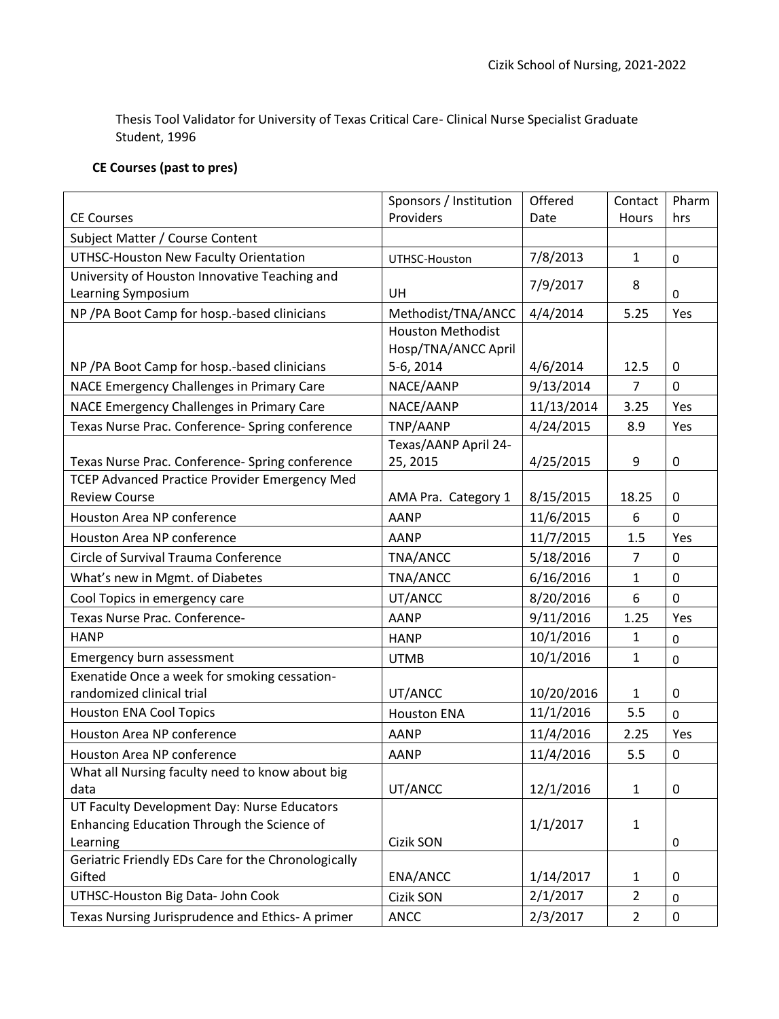Thesis Tool Validator for University of Texas Critical Care- Clinical Nurse Specialist Graduate Student, 1996

### **CE Courses (past to pres)**

|                                                     | Sponsors / Institution   | Offered    | Contact        | Pharm       |
|-----------------------------------------------------|--------------------------|------------|----------------|-------------|
| <b>CE Courses</b>                                   | Providers                | Date       | Hours          | hrs         |
| Subject Matter / Course Content                     |                          |            |                |             |
| UTHSC-Houston New Faculty Orientation               | UTHSC-Houston            | 7/8/2013   | 1              | $\pmb{0}$   |
| University of Houston Innovative Teaching and       |                          | 7/9/2017   | 8              |             |
| Learning Symposium                                  | UH                       |            |                | $\mathbf 0$ |
| NP /PA Boot Camp for hosp.-based clinicians         | Methodist/TNA/ANCC       | 4/4/2014   | 5.25           | Yes         |
|                                                     | <b>Houston Methodist</b> |            |                |             |
|                                                     | Hosp/TNA/ANCC April      |            |                |             |
| NP /PA Boot Camp for hosp.-based clinicians         | 5-6, 2014                | 4/6/2014   | 12.5           | $\pmb{0}$   |
| NACE Emergency Challenges in Primary Care           | NACE/AANP                | 9/13/2014  | 7              | 0           |
| NACE Emergency Challenges in Primary Care           | NACE/AANP                | 11/13/2014 | 3.25           | Yes         |
| Texas Nurse Prac. Conference- Spring conference     | TNP/AANP                 | 4/24/2015  | 8.9            | Yes         |
|                                                     | Texas/AANP April 24-     |            |                |             |
| Texas Nurse Prac. Conference- Spring conference     | 25, 2015                 | 4/25/2015  | 9              | $\mathbf 0$ |
| TCEP Advanced Practice Provider Emergency Med       |                          |            |                |             |
| <b>Review Course</b>                                | AMA Pra. Category 1      | 8/15/2015  | 18.25          | $\mathbf 0$ |
| Houston Area NP conference                          | <b>AANP</b>              | 11/6/2015  | 6              | $\mathbf 0$ |
| Houston Area NP conference                          | <b>AANP</b>              | 11/7/2015  | 1.5            | Yes         |
| Circle of Survival Trauma Conference                | TNA/ANCC                 | 5/18/2016  | 7              | 0           |
| What's new in Mgmt. of Diabetes                     | TNA/ANCC                 | 6/16/2016  | 1              | $\pmb{0}$   |
| Cool Topics in emergency care                       | UT/ANCC                  | 8/20/2016  | 6              | $\mathbf 0$ |
| Texas Nurse Prac. Conference-                       | <b>AANP</b>              | 9/11/2016  | 1.25           | Yes         |
| <b>HANP</b>                                         | <b>HANP</b>              | 10/1/2016  | $\mathbf{1}$   | $\pmb{0}$   |
| Emergency burn assessment                           | <b>UTMB</b>              | 10/1/2016  | $\mathbf{1}$   | $\pmb{0}$   |
| Exenatide Once a week for smoking cessation-        |                          |            |                |             |
| randomized clinical trial                           | UT/ANCC                  | 10/20/2016 | 1              | 0           |
| <b>Houston ENA Cool Topics</b>                      | <b>Houston ENA</b>       | 11/1/2016  | 5.5            | $\mathbf 0$ |
| Houston Area NP conference                          | <b>AANP</b>              | 11/4/2016  | 2.25           | Yes         |
| Houston Area NP conference                          | <b>AANP</b>              | 11/4/2016  | 5.5            | $\pmb{0}$   |
| What all Nursing faculty need to know about big     |                          |            |                |             |
| data                                                | UT/ANCC                  | 12/1/2016  | 1              | 0           |
| UT Faculty Development Day: Nurse Educators         |                          |            |                |             |
| Enhancing Education Through the Science of          |                          | 1/1/2017   | $\mathbf{1}$   |             |
| Learning                                            | Cizik SON                |            |                | 0           |
| Geriatric Friendly EDs Care for the Chronologically |                          |            |                |             |
| Gifted                                              | ENA/ANCC                 | 1/14/2017  | 1              | 0           |
| UTHSC-Houston Big Data- John Cook                   | Cizik SON                | 2/1/2017   | $\overline{2}$ | 0           |
| Texas Nursing Jurisprudence and Ethics- A primer    | <b>ANCC</b>              | 2/3/2017   | $\overline{2}$ | $\pmb{0}$   |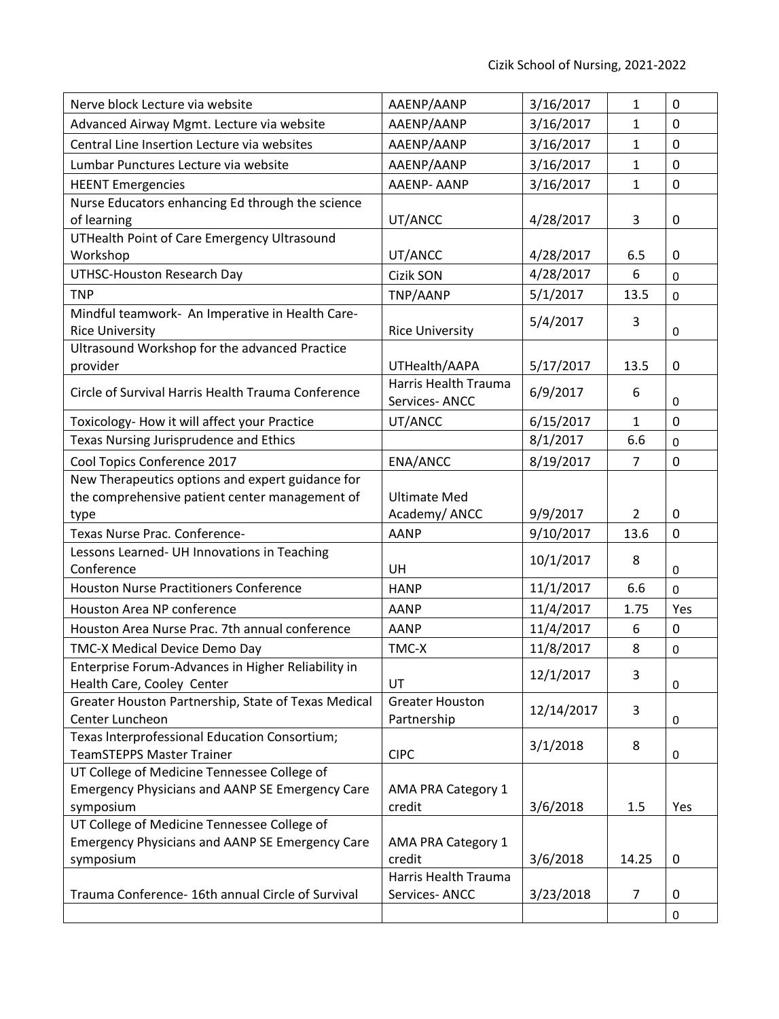| Nerve block Lecture via website                                           | AAENP/AANP                            | 3/16/2017  | $\mathbf{1}$   | $\mathbf 0$  |
|---------------------------------------------------------------------------|---------------------------------------|------------|----------------|--------------|
| Advanced Airway Mgmt. Lecture via website                                 | AAENP/AANP                            | 3/16/2017  | 1              | $\mathbf{0}$ |
| Central Line Insertion Lecture via websites                               | AAENP/AANP                            | 3/16/2017  | $\mathbf{1}$   | $\mathbf 0$  |
| Lumbar Punctures Lecture via website                                      | AAENP/AANP                            | 3/16/2017  | 1              | $\mathbf 0$  |
| <b>HEENT Emergencies</b>                                                  | <b>AAENP- AANP</b>                    | 3/16/2017  | 1              | 0            |
| Nurse Educators enhancing Ed through the science                          |                                       |            |                |              |
| of learning                                                               | UT/ANCC                               | 4/28/2017  | 3              | 0            |
| UTHealth Point of Care Emergency Ultrasound                               |                                       |            |                |              |
| Workshop                                                                  | UT/ANCC                               | 4/28/2017  | 6.5            | 0            |
| UTHSC-Houston Research Day                                                | Cizik SON                             | 4/28/2017  | 6              | $\mathbf 0$  |
| <b>TNP</b>                                                                | TNP/AANP                              | 5/1/2017   | 13.5           | $\mathbf 0$  |
| Mindful teamwork- An Imperative in Health Care-<br><b>Rice University</b> | <b>Rice University</b>                | 5/4/2017   | 3              | 0            |
| Ultrasound Workshop for the advanced Practice                             |                                       |            |                |              |
| provider                                                                  | UTHealth/AAPA                         | 5/17/2017  | 13.5           | 0            |
| Circle of Survival Harris Health Trauma Conference                        | Harris Health Trauma                  | 6/9/2017   | 6              |              |
|                                                                           | Services-ANCC                         |            |                | 0            |
| Toxicology- How it will affect your Practice                              | UT/ANCC                               | 6/15/2017  | $\mathbf{1}$   | $\mathbf 0$  |
| Texas Nursing Jurisprudence and Ethics                                    |                                       | 8/1/2017   | 6.6            | 0            |
| Cool Topics Conference 2017                                               | <b>ENA/ANCC</b>                       | 8/19/2017  | 7              | 0            |
| New Therapeutics options and expert guidance for                          |                                       |            |                |              |
| the comprehensive patient center management of                            | <b>Ultimate Med</b>                   |            |                |              |
| type                                                                      | Academy/ANCC                          | 9/9/2017   | $\overline{2}$ | 0            |
| Texas Nurse Prac. Conference-                                             | <b>AANP</b>                           | 9/10/2017  | 13.6           | $\mathbf 0$  |
| Lessons Learned- UH Innovations in Teaching<br>Conference                 | UH                                    | 10/1/2017  | 8              | 0            |
| <b>Houston Nurse Practitioners Conference</b>                             | <b>HANP</b>                           | 11/1/2017  | 6.6            | 0            |
| Houston Area NP conference                                                | AANP                                  | 11/4/2017  | 1.75           | Yes          |
| Houston Area Nurse Prac. 7th annual conference                            | <b>AANP</b>                           | 11/4/2017  | 6              | $\mathbf 0$  |
| TMC-X Medical Device Demo Day                                             | TMC-X                                 | 11/8/2017  | 8              | 0            |
| Enterprise Forum-Advances in Higher Reliability in                        |                                       |            |                |              |
| Health Care, Cooley Center                                                | UT                                    | 12/1/2017  | 3              | 0            |
| Greater Houston Partnership, State of Texas Medical<br>Center Luncheon    | <b>Greater Houston</b><br>Partnership | 12/14/2017 | 3              | 0            |
| Texas Interprofessional Education Consortium;                             |                                       |            |                |              |
| <b>TeamSTEPPS Master Trainer</b>                                          | <b>CIPC</b>                           | 3/1/2018   | 8              | 0            |
| UT College of Medicine Tennessee College of                               |                                       |            |                |              |
| <b>Emergency Physicians and AANP SE Emergency Care</b>                    | AMA PRA Category 1                    |            |                |              |
| symposium                                                                 | credit                                | 3/6/2018   | 1.5            | Yes          |
| UT College of Medicine Tennessee College of                               |                                       |            |                |              |
| <b>Emergency Physicians and AANP SE Emergency Care</b>                    | AMA PRA Category 1                    |            |                |              |
| symposium                                                                 | credit                                | 3/6/2018   | 14.25          | 0            |
|                                                                           | Harris Health Trauma                  |            |                |              |
| Trauma Conference- 16th annual Circle of Survival                         | Services-ANCC                         | 3/23/2018  | 7              | 0            |
|                                                                           |                                       |            |                | $\pmb{0}$    |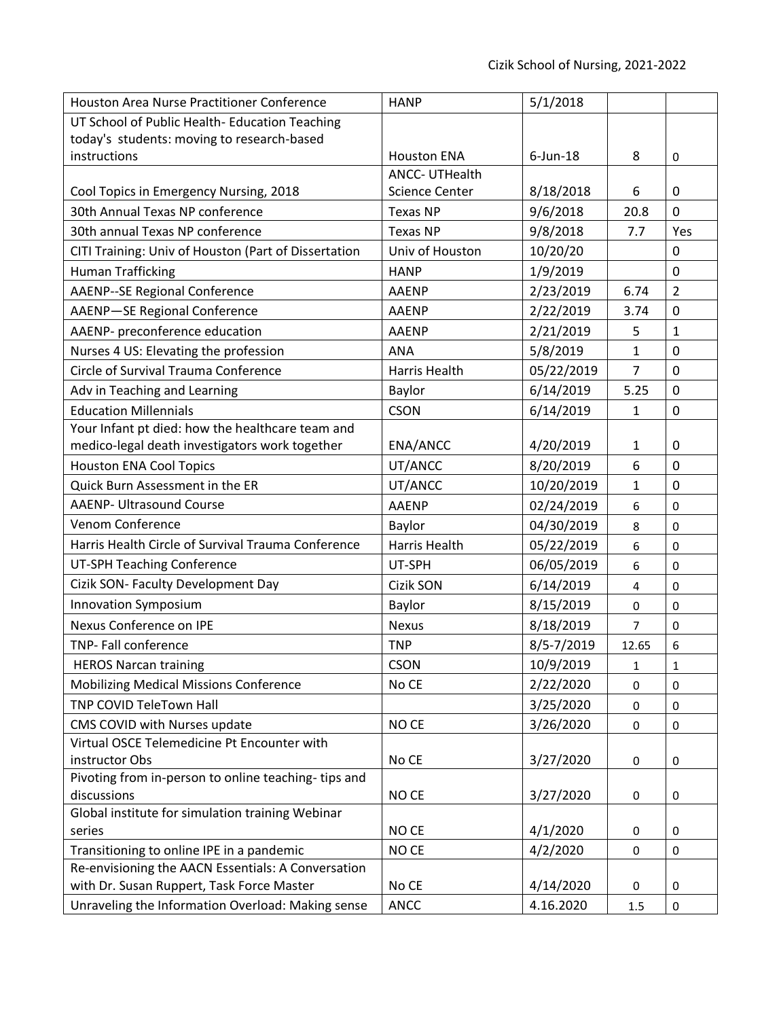| Houston Area Nurse Practitioner Conference                                                      | <b>HANP</b>           | 5/1/2018    |              |                |
|-------------------------------------------------------------------------------------------------|-----------------------|-------------|--------------|----------------|
| UT School of Public Health- Education Teaching                                                  |                       |             |              |                |
| today's students: moving to research-based                                                      |                       |             |              |                |
| instructions                                                                                    | <b>Houston ENA</b>    | $6$ -Jun-18 | 8            | 0              |
|                                                                                                 | <b>ANCC- UTHealth</b> |             |              |                |
| Cool Topics in Emergency Nursing, 2018                                                          | <b>Science Center</b> | 8/18/2018   | 6            | 0              |
| 30th Annual Texas NP conference                                                                 | <b>Texas NP</b>       | 9/6/2018    | 20.8         | $\overline{0}$ |
| 30th annual Texas NP conference                                                                 | <b>Texas NP</b>       | 9/8/2018    | 7.7          | Yes            |
| CITI Training: Univ of Houston (Part of Dissertation                                            | Univ of Houston       | 10/20/20    |              | 0              |
| <b>Human Trafficking</b>                                                                        | <b>HANP</b>           | 1/9/2019    |              | 0              |
| <b>AAENP--SE Regional Conference</b>                                                            | <b>AAENP</b>          | 2/23/2019   | 6.74         | $\overline{2}$ |
| AAENP-SE Regional Conference                                                                    | <b>AAENP</b>          | 2/22/2019   | 3.74         | 0              |
| AAENP- preconference education                                                                  | <b>AAENP</b>          | 2/21/2019   | 5            | $\mathbf{1}$   |
| Nurses 4 US: Elevating the profession                                                           | <b>ANA</b>            | 5/8/2019    | $\mathbf{1}$ | $\mathbf 0$    |
| Circle of Survival Trauma Conference                                                            | Harris Health         | 05/22/2019  | 7            | 0              |
| Adv in Teaching and Learning                                                                    | Baylor                | 6/14/2019   | 5.25         | $\mathbf 0$    |
| <b>Education Millennials</b>                                                                    | <b>CSON</b>           | 6/14/2019   | 1            | 0              |
| Your Infant pt died: how the healthcare team and                                                |                       |             |              |                |
| medico-legal death investigators work together                                                  | ENA/ANCC              | 4/20/2019   | 1            | 0              |
| <b>Houston ENA Cool Topics</b>                                                                  | UT/ANCC               | 8/20/2019   | 6            | $\mathbf 0$    |
| Quick Burn Assessment in the ER                                                                 | UT/ANCC               | 10/20/2019  | $\mathbf{1}$ | $\overline{0}$ |
| <b>AAENP- Ultrasound Course</b>                                                                 | <b>AAENP</b>          | 02/24/2019  | 6            | 0              |
| Venom Conference                                                                                | Baylor                | 04/30/2019  | 8            | 0              |
| Harris Health Circle of Survival Trauma Conference                                              | Harris Health         | 05/22/2019  | 6            | 0              |
| UT-SPH Teaching Conference                                                                      | UT-SPH                | 06/05/2019  | 6            | 0              |
| Cizik SON- Faculty Development Day                                                              | Cizik SON             | 6/14/2019   | 4            | 0              |
| <b>Innovation Symposium</b>                                                                     | Baylor                | 8/15/2019   | 0            | 0              |
| Nexus Conference on IPE                                                                         | <b>Nexus</b>          | 8/18/2019   | 7            | 0              |
| TNP- Fall conference                                                                            | <b>TNP</b>            | 8/5-7/2019  | 12.65        | 6              |
| <b>HEROS Narcan training</b>                                                                    | <b>CSON</b>           | 10/9/2019   | $\mathbf 1$  | $\mathbf 1$    |
| <b>Mobilizing Medical Missions Conference</b>                                                   | No CE                 | 2/22/2020   | 0            | 0              |
| TNP COVID TeleTown Hall                                                                         |                       | 3/25/2020   | 0            | 0              |
| CMS COVID with Nurses update                                                                    | NO CE                 | 3/26/2020   | 0            | 0              |
| Virtual OSCE Telemedicine Pt Encounter with                                                     |                       |             |              |                |
| instructor Obs                                                                                  | No CE                 | 3/27/2020   | 0            | 0              |
| Pivoting from in-person to online teaching-tips and                                             |                       |             |              |                |
| discussions                                                                                     | NO CE                 | 3/27/2020   | 0            | 0              |
| Global institute for simulation training Webinar                                                |                       |             |              |                |
| series                                                                                          | NO CE                 | 4/1/2020    | 0            | 0              |
| Transitioning to online IPE in a pandemic                                                       | NO CE                 | 4/2/2020    | 0            | 0              |
| Re-envisioning the AACN Essentials: A Conversation<br>with Dr. Susan Ruppert, Task Force Master | No CE                 | 4/14/2020   |              |                |
|                                                                                                 |                       |             | 0            | 0              |
| Unraveling the Information Overload: Making sense                                               | <b>ANCC</b>           | 4.16.2020   | 1.5          | $\pmb{0}$      |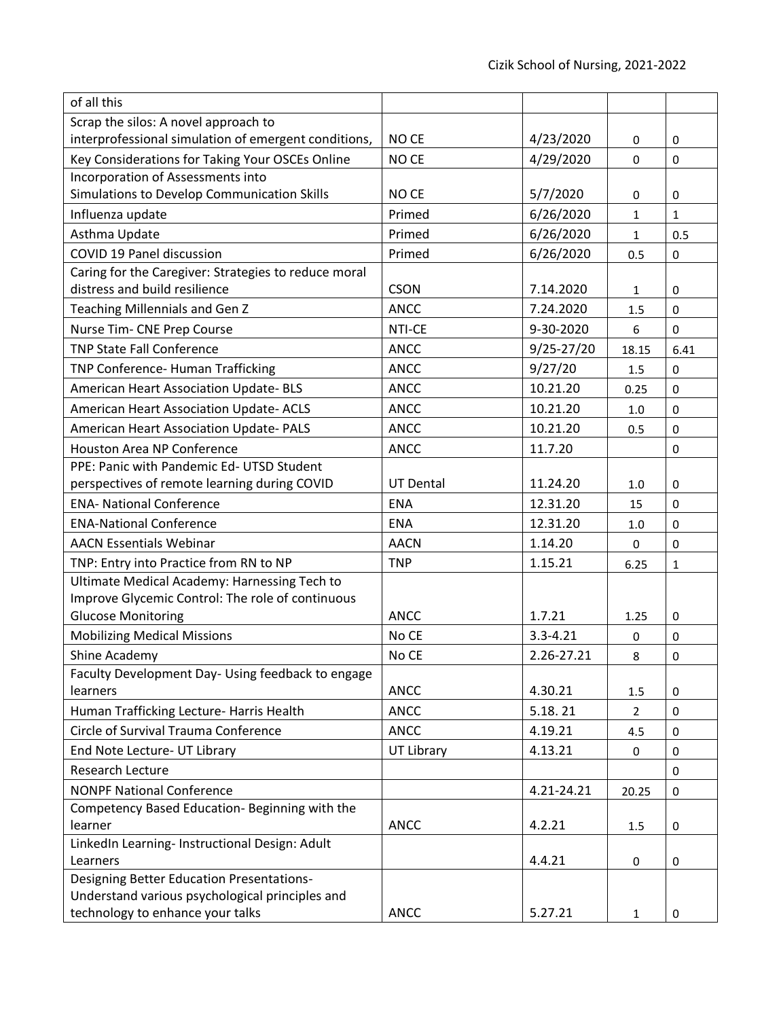| of all this                                                                         |                  |                |                |              |
|-------------------------------------------------------------------------------------|------------------|----------------|----------------|--------------|
| Scrap the silos: A novel approach to                                                |                  |                |                |              |
| interprofessional simulation of emergent conditions,                                | NO CE            | 4/23/2020      | 0              | 0            |
| Key Considerations for Taking Your OSCEs Online                                     | NO CE            | 4/29/2020      | 0              | 0            |
| Incorporation of Assessments into                                                   |                  |                |                |              |
| Simulations to Develop Communication Skills                                         | NO CE            | 5/7/2020       | 0              | 0            |
| Influenza update                                                                    | Primed           | 6/26/2020      | $\mathbf{1}$   | $\mathbf{1}$ |
| Asthma Update                                                                       | Primed           | 6/26/2020      | $\mathbf{1}$   | 0.5          |
| COVID 19 Panel discussion                                                           | Primed           | 6/26/2020      | 0.5            | 0            |
| Caring for the Caregiver: Strategies to reduce moral                                |                  |                |                |              |
| distress and build resilience                                                       | <b>CSON</b>      | 7.14.2020      | 1              | 0            |
| Teaching Millennials and Gen Z                                                      | <b>ANCC</b>      | 7.24.2020      | 1.5            | 0            |
| Nurse Tim- CNE Prep Course                                                          | NTI-CE           | 9-30-2020      | 6              | 0            |
| <b>TNP State Fall Conference</b>                                                    | <b>ANCC</b>      | $9/25 - 27/20$ | 18.15          | 6.41         |
| TNP Conference- Human Trafficking                                                   | <b>ANCC</b>      | 9/27/20        | 1.5            | 0            |
| American Heart Association Update- BLS                                              | <b>ANCC</b>      | 10.21.20       | 0.25           | $\pmb{0}$    |
| American Heart Association Update- ACLS                                             | <b>ANCC</b>      | 10.21.20       | 1.0            | $\pmb{0}$    |
| American Heart Association Update- PALS                                             | <b>ANCC</b>      | 10.21.20       | 0.5            | 0            |
| Houston Area NP Conference                                                          | <b>ANCC</b>      | 11.7.20        |                | 0            |
| PPE: Panic with Pandemic Ed- UTSD Student                                           |                  |                |                |              |
| perspectives of remote learning during COVID                                        | <b>UT Dental</b> | 11.24.20       | 1.0            | 0            |
| <b>ENA- National Conference</b>                                                     | <b>ENA</b>       | 12.31.20       | 15             | 0            |
| <b>ENA-National Conference</b>                                                      | <b>ENA</b>       | 12.31.20       | 1.0            | 0            |
| <b>AACN Essentials Webinar</b>                                                      | <b>AACN</b>      | 1.14.20        | 0              | $\mathbf 0$  |
| TNP: Entry into Practice from RN to NP                                              | <b>TNP</b>       | 1.15.21        | 6.25           | 1            |
| Ultimate Medical Academy: Harnessing Tech to                                        |                  |                |                |              |
| Improve Glycemic Control: The role of continuous                                    |                  |                |                |              |
| <b>Glucose Monitoring</b>                                                           | <b>ANCC</b>      | 1.7.21         | 1.25           | 0            |
| <b>Mobilizing Medical Missions</b>                                                  | No CE            | $3.3 - 4.21$   | 0              | 0            |
| Shine Academy                                                                       | No CE            | 2.26-27.21     | 8              | 0            |
| Faculty Development Day- Using feedback to engage                                   |                  |                |                |              |
| learners                                                                            | <b>ANCC</b>      | 4.30.21        | 1.5            | 0            |
| Human Trafficking Lecture- Harris Health                                            | <b>ANCC</b>      | 5.18.21        | $\overline{2}$ | 0            |
| Circle of Survival Trauma Conference                                                | <b>ANCC</b>      | 4.19.21        | 4.5            | 0            |
| End Note Lecture- UT Library                                                        | UT Library       | 4.13.21        | 0              | 0            |
| Research Lecture                                                                    |                  |                |                | 0            |
| <b>NONPF National Conference</b>                                                    |                  | 4.21-24.21     | 20.25          | 0            |
| Competency Based Education- Beginning with the                                      |                  |                |                |              |
| learner                                                                             | <b>ANCC</b>      | 4.2.21         | 1.5            | 0            |
| LinkedIn Learning- Instructional Design: Adult                                      |                  |                |                |              |
| Learners                                                                            |                  | 4.4.21         | 0              | 0            |
| <b>Designing Better Education Presentations-</b>                                    |                  |                |                |              |
| Understand various psychological principles and<br>technology to enhance your talks | <b>ANCC</b>      | 5.27.21        |                |              |
|                                                                                     |                  |                | 1              | 0            |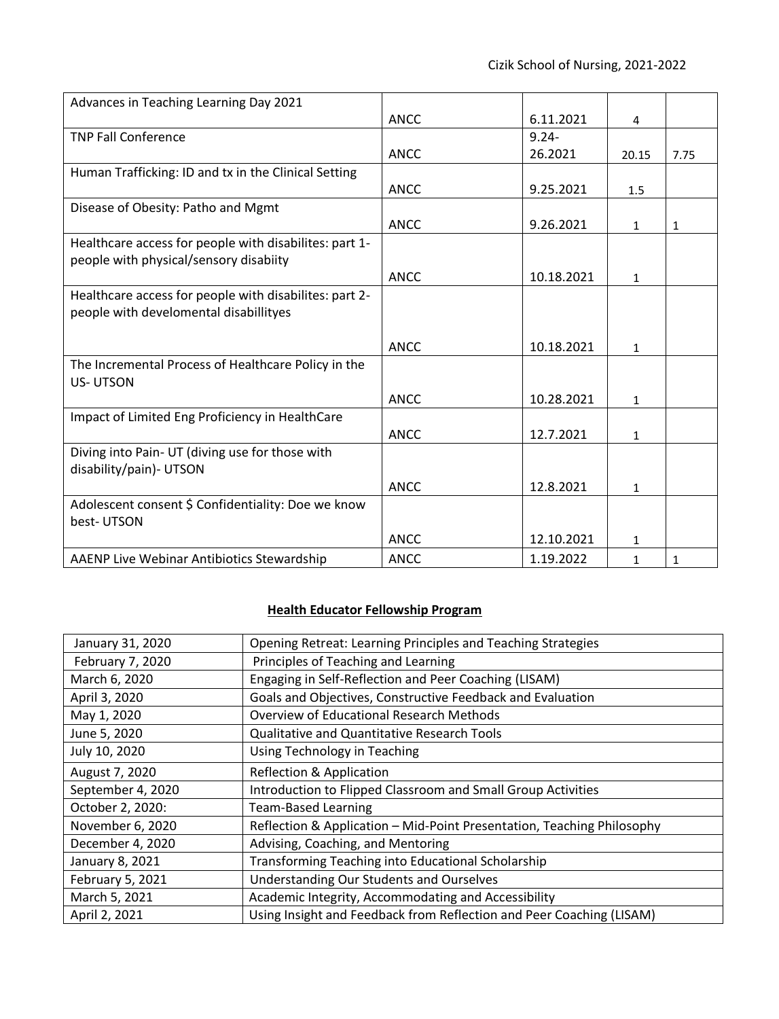| Advances in Teaching Learning Day 2021                                     |             |            |              |              |
|----------------------------------------------------------------------------|-------------|------------|--------------|--------------|
|                                                                            | <b>ANCC</b> | 6.11.2021  | 4            |              |
| <b>TNP Fall Conference</b>                                                 |             | $9.24 -$   |              |              |
|                                                                            | <b>ANCC</b> | 26.2021    | 20.15        | 7.75         |
| Human Trafficking: ID and tx in the Clinical Setting                       |             |            |              |              |
|                                                                            | <b>ANCC</b> | 9.25.2021  | 1.5          |              |
| Disease of Obesity: Patho and Mgmt                                         |             |            |              |              |
|                                                                            | <b>ANCC</b> | 9.26.2021  | $\mathbf{1}$ | $\mathbf{1}$ |
| Healthcare access for people with disabilites: part 1-                     |             |            |              |              |
| people with physical/sensory disabiity                                     |             |            |              |              |
|                                                                            | <b>ANCC</b> | 10.18.2021 | 1            |              |
| Healthcare access for people with disabilites: part 2-                     |             |            |              |              |
| people with develomental disabillityes                                     |             |            |              |              |
|                                                                            |             |            |              |              |
|                                                                            | <b>ANCC</b> | 10.18.2021 | $\mathbf{1}$ |              |
| The Incremental Process of Healthcare Policy in the<br><b>US-UTSON</b>     |             |            |              |              |
|                                                                            | <b>ANCC</b> | 10.28.2021 | 1            |              |
| Impact of Limited Eng Proficiency in HealthCare                            |             |            |              |              |
|                                                                            | <b>ANCC</b> | 12.7.2021  | $\mathbf{1}$ |              |
| Diving into Pain- UT (diving use for those with<br>disability/pain)- UTSON |             |            |              |              |
|                                                                            | <b>ANCC</b> | 12.8.2021  | 1            |              |
| Adolescent consent \$ Confidentiality: Doe we know<br>best-UTSON           |             |            |              |              |
|                                                                            | <b>ANCC</b> | 12.10.2021 | $\mathbf{1}$ |              |
| AAENP Live Webinar Antibiotics Stewardship                                 | <b>ANCC</b> | 1.19.2022  | $\mathbf{1}$ | $\mathbf{1}$ |

### **Health Educator Fellowship Program**

| January 31, 2020  | Opening Retreat: Learning Principles and Teaching Strategies           |
|-------------------|------------------------------------------------------------------------|
| February 7, 2020  | Principles of Teaching and Learning                                    |
| March 6, 2020     | Engaging in Self-Reflection and Peer Coaching (LISAM)                  |
| April 3, 2020     | Goals and Objectives, Constructive Feedback and Evaluation             |
| May 1, 2020       | <b>Overview of Educational Research Methods</b>                        |
| June 5, 2020      | <b>Qualitative and Quantitative Research Tools</b>                     |
| July 10, 2020     | Using Technology in Teaching                                           |
| August 7, 2020    | <b>Reflection &amp; Application</b>                                    |
| September 4, 2020 | Introduction to Flipped Classroom and Small Group Activities           |
| October 2, 2020:  | <b>Team-Based Learning</b>                                             |
| November 6, 2020  | Reflection & Application - Mid-Point Presentation, Teaching Philosophy |
| December 4, 2020  | Advising, Coaching, and Mentoring                                      |
| January 8, 2021   | <b>Transforming Teaching into Educational Scholarship</b>              |
| February 5, 2021  | <b>Understanding Our Students and Ourselves</b>                        |
| March 5, 2021     | Academic Integrity, Accommodating and Accessibility                    |
| April 2, 2021     | Using Insight and Feedback from Reflection and Peer Coaching (LISAM)   |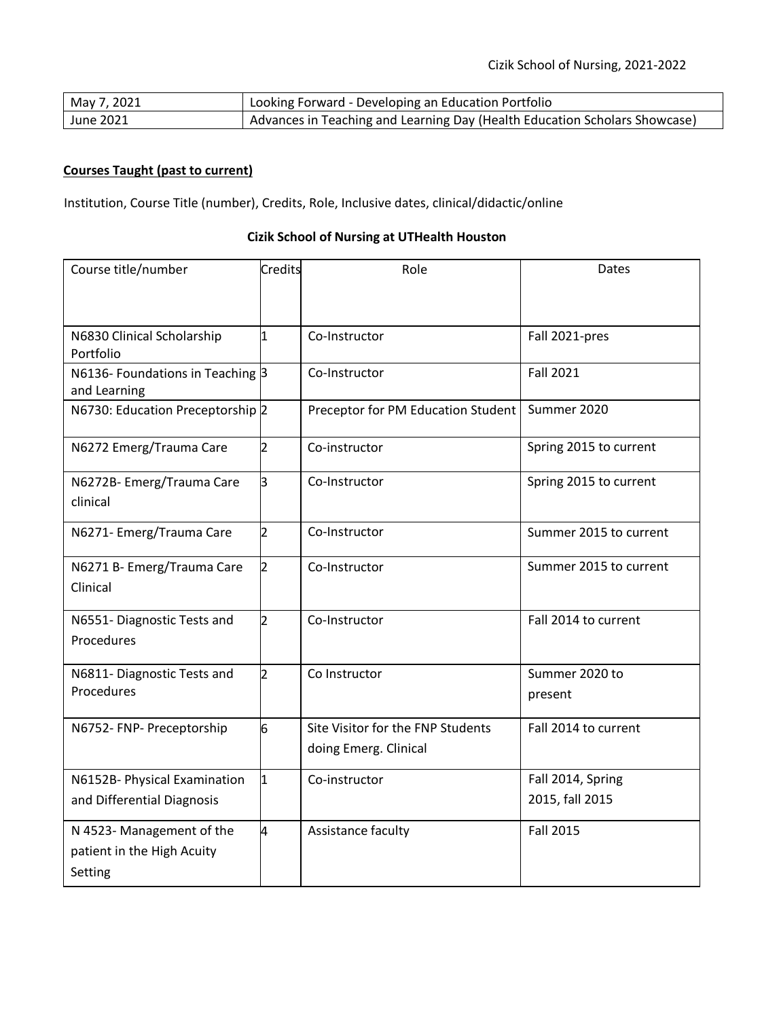| May 7, 2021 | Looking Forward - Developing an Education Portfolio                        |
|-------------|----------------------------------------------------------------------------|
| June 2021   | Advances in Teaching and Learning Day (Health Education Scholars Showcase) |

### **Courses Taught (past to current)**

Institution, Course Title (number), Credits, Role, Inclusive dates, clinical/didactic/online

### **Cizik School of Nursing at UTHealth Houston**

| Course title/number                                                | <b>Credits</b> | Role                                                       | Dates                                |
|--------------------------------------------------------------------|----------------|------------------------------------------------------------|--------------------------------------|
| N6830 Clinical Scholarship<br>Portfolio                            | 1              | Co-Instructor                                              | Fall 2021-pres                       |
| N6136- Foundations in Teaching 3<br>and Learning                   |                | Co-Instructor                                              | <b>Fall 2021</b>                     |
| N6730: Education Preceptorship 2                                   |                | Preceptor for PM Education Student                         | Summer 2020                          |
| N6272 Emerg/Trauma Care                                            | $\overline{2}$ | Co-instructor                                              | Spring 2015 to current               |
| N6272B-Emerg/Trauma Care<br>clinical                               | 3              | Co-Instructor                                              | Spring 2015 to current               |
| N6271- Emerg/Trauma Care                                           | $\overline{2}$ | Co-Instructor                                              | Summer 2015 to current               |
| N6271 B- Emerg/Trauma Care<br>Clinical                             | $\overline{2}$ | Co-Instructor                                              | Summer 2015 to current               |
| N6551- Diagnostic Tests and<br>Procedures                          | $\overline{2}$ | Co-Instructor                                              | Fall 2014 to current                 |
| N6811- Diagnostic Tests and<br>Procedures                          | 2              | Co Instructor                                              | Summer 2020 to<br>present            |
| N6752- FNP- Preceptorship                                          | 6              | Site Visitor for the FNP Students<br>doing Emerg. Clinical | Fall 2014 to current                 |
| N6152B- Physical Examination<br>and Differential Diagnosis         | $\mathbf{1}$   | Co-instructor                                              | Fall 2014, Spring<br>2015, fall 2015 |
| N 4523- Management of the<br>patient in the High Acuity<br>Setting | 4              | Assistance faculty                                         | <b>Fall 2015</b>                     |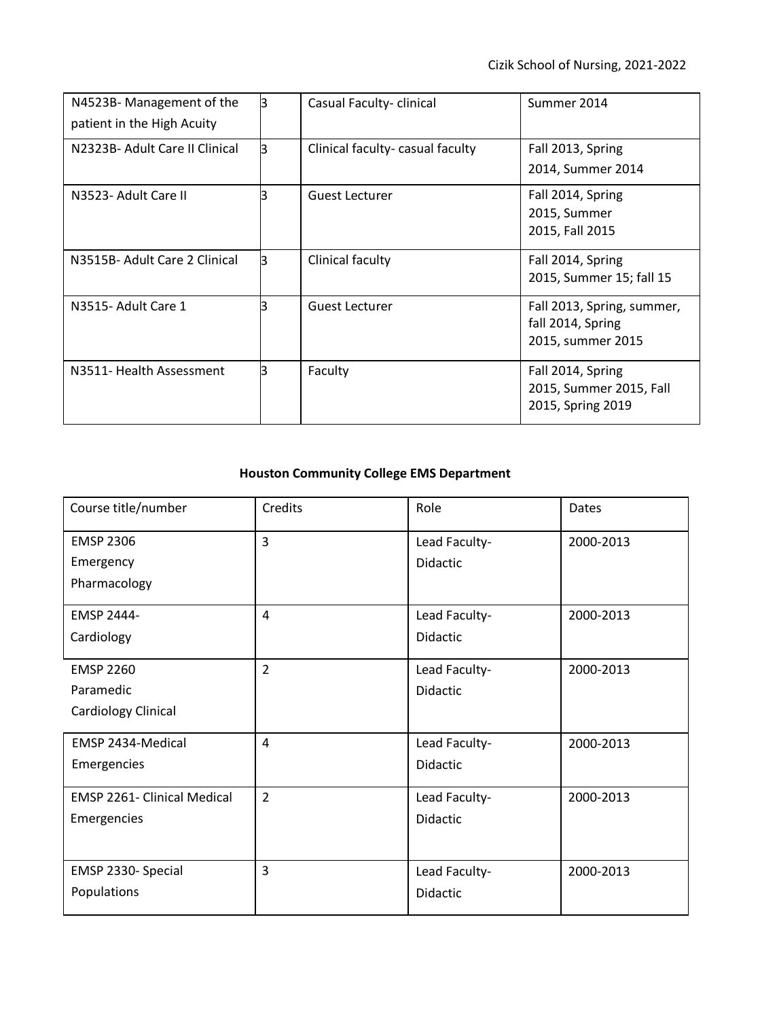| N4523B-Management of the<br>patient in the High Acuity | ß. | Casual Faculty-clinical         | Summer 2014                                                          |
|--------------------------------------------------------|----|---------------------------------|----------------------------------------------------------------------|
| N2323B- Adult Care II Clinical                         | ß  | Clinical faculty-casual faculty | Fall 2013, Spring<br>2014, Summer 2014                               |
| N3523- Adult Care II                                   |    | <b>Guest Lecturer</b>           | Fall 2014, Spring<br>2015, Summer<br>2015, Fall 2015                 |
| N3515B- Adult Care 2 Clinical                          | ß  | Clinical faculty                | Fall 2014, Spring<br>2015, Summer 15; fall 15                        |
| N3515-Adult Care 1                                     |    | <b>Guest Lecturer</b>           | Fall 2013, Spring, summer,<br>fall 2014, Spring<br>2015, summer 2015 |
| N3511- Health Assessment                               |    | Faculty                         | Fall 2014, Spring<br>2015, Summer 2015, Fall<br>2015, Spring 2019    |

### **Houston Community College EMS Department**

| Course title/number                | Credits        | Role          | Dates     |
|------------------------------------|----------------|---------------|-----------|
| <b>EMSP 2306</b>                   | 3              | Lead Faculty- | 2000-2013 |
| Emergency                          |                | Didactic      |           |
| Pharmacology                       |                |               |           |
| <b>EMSP 2444-</b>                  | 4              | Lead Faculty- | 2000-2013 |
| Cardiology                         |                | Didactic      |           |
| <b>EMSP 2260</b>                   | $\overline{2}$ | Lead Faculty- | 2000-2013 |
| Paramedic                          |                | Didactic      |           |
| Cardiology Clinical                |                |               |           |
| EMSP 2434-Medical                  | 4              | Lead Faculty- | 2000-2013 |
| Emergencies                        |                | Didactic      |           |
| <b>EMSP 2261- Clinical Medical</b> | $\overline{2}$ | Lead Faculty- | 2000-2013 |
| Emergencies                        |                | Didactic      |           |
|                                    |                |               |           |
| EMSP 2330- Special                 | 3              | Lead Faculty- | 2000-2013 |
| Populations                        |                | Didactic      |           |
|                                    |                |               |           |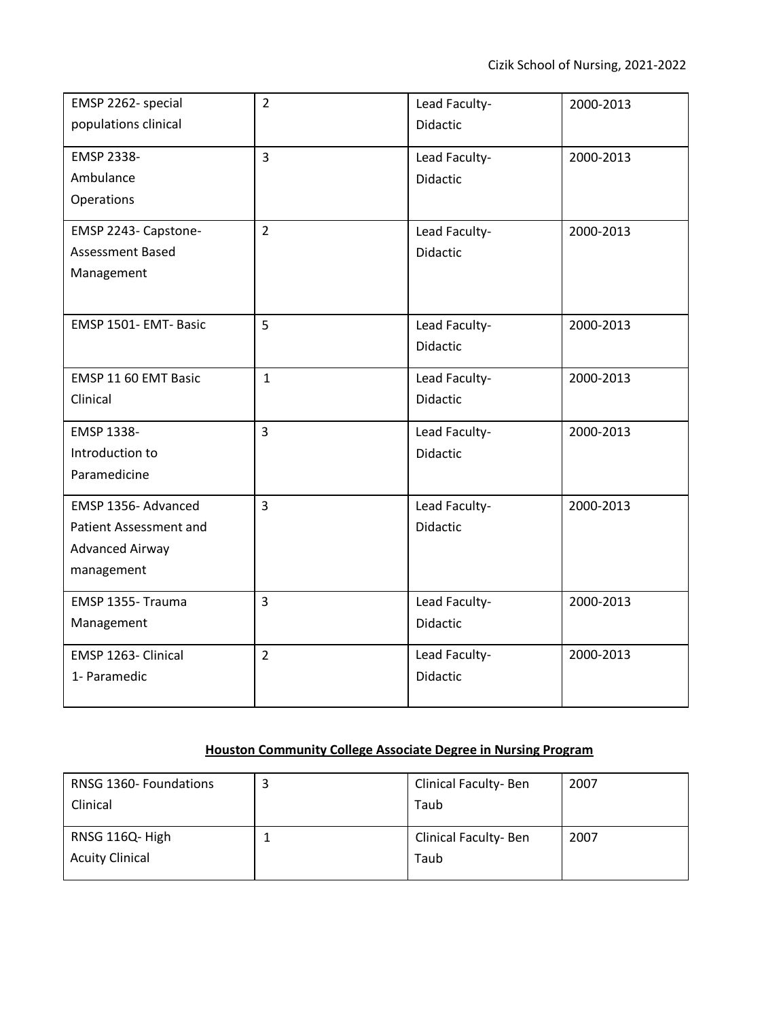| EMSP 2262- special<br>populations clinical | $\overline{2}$ | Lead Faculty-<br>Didactic | 2000-2013 |
|--------------------------------------------|----------------|---------------------------|-----------|
|                                            |                |                           |           |
| EMSP 2338-                                 | $\overline{3}$ | Lead Faculty-             | 2000-2013 |
| Ambulance                                  |                | <b>Didactic</b>           |           |
| Operations                                 |                |                           |           |
| EMSP 2243- Capstone-                       | $\overline{2}$ | Lead Faculty-             | 2000-2013 |
| Assessment Based                           |                | Didactic                  |           |
| Management                                 |                |                           |           |
|                                            |                |                           |           |
| EMSP 1501- EMT- Basic                      | 5              | Lead Faculty-             | 2000-2013 |
|                                            |                | Didactic                  |           |
| EMSP 11 60 EMT Basic                       | $\mathbf{1}$   | Lead Faculty-             | 2000-2013 |
| Clinical                                   |                | Didactic                  |           |
| EMSP 1338-                                 | $\overline{3}$ | Lead Faculty-             | 2000-2013 |
| Introduction to                            |                | <b>Didactic</b>           |           |
| Paramedicine                               |                |                           |           |
| EMSP 1356- Advanced                        | $\overline{3}$ | Lead Faculty-             | 2000-2013 |
| Patient Assessment and                     |                | Didactic                  |           |
| <b>Advanced Airway</b>                     |                |                           |           |
| management                                 |                |                           |           |
| EMSP 1355- Trauma                          | $\overline{3}$ | Lead Faculty-             | 2000-2013 |
| Management                                 |                | Didactic                  |           |
| EMSP 1263- Clinical                        | $\overline{2}$ | Lead Faculty-             | 2000-2013 |
| 1- Paramedic                               |                | <b>Didactic</b>           |           |
|                                            |                |                           |           |

# **Houston Community College Associate Degree in Nursing Program**

| RNSG 1360- Foundations | 3 | <b>Clinical Faculty-Ben</b> | 2007 |
|------------------------|---|-----------------------------|------|
| Clinical               |   | Taub                        |      |
| RNSG 116Q-High         |   | <b>Clinical Faculty-Ben</b> | 2007 |
| <b>Acuity Clinical</b> |   | Taub                        |      |
|                        |   |                             |      |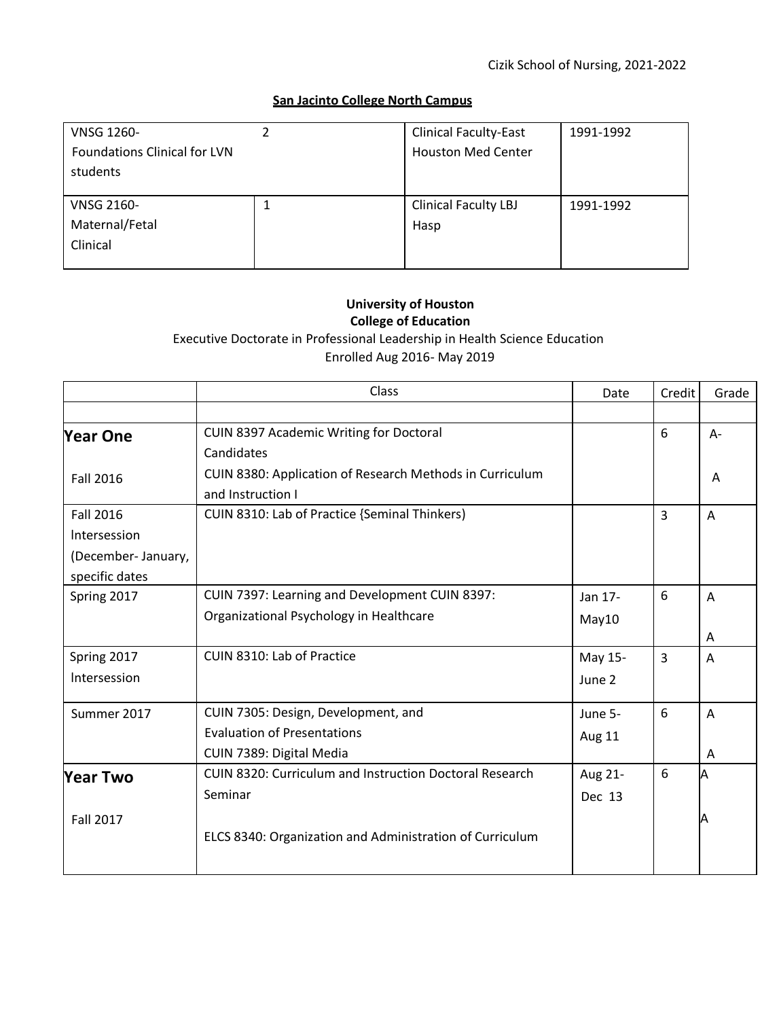### **San Jacinto College North Campus**

| <b>VNSG 1260-</b><br><b>Foundations Clinical for LVN</b><br>students | <b>Clinical Faculty-East</b><br><b>Houston Med Center</b> | 1991-1992 |
|----------------------------------------------------------------------|-----------------------------------------------------------|-----------|
| <b>VNSG 2160-</b>                                                    | <b>Clinical Faculty LBJ</b>                               | 1991-1992 |
| Maternal/Fetal                                                       | Hasp                                                      |           |
| Clinical                                                             |                                                           |           |

### **University of Houston College of Education**

Executive Doctorate in Professional Leadership in Health Science Education Enrolled Aug 2016- May 2019

|                    | Class                                                          | Date    | Credit         | Grade |
|--------------------|----------------------------------------------------------------|---------|----------------|-------|
|                    |                                                                |         |                |       |
| <b>Year One</b>    | CUIN 8397 Academic Writing for Doctoral                        |         | 6              | $A -$ |
|                    | Candidates                                                     |         |                |       |
| <b>Fall 2016</b>   | CUIN 8380: Application of Research Methods in Curriculum       |         |                | A     |
|                    | and Instruction I                                              |         |                |       |
| Fall 2016          | CUIN 8310: Lab of Practice {Seminal Thinkers)                  |         | $\overline{3}$ | A     |
| Intersession       |                                                                |         |                |       |
| (December-January, |                                                                |         |                |       |
| specific dates     |                                                                |         |                |       |
| Spring 2017        | CUIN 7397: Learning and Development CUIN 8397:                 | Jan 17- | 6              | A     |
|                    | Organizational Psychology in Healthcare                        | May10   |                |       |
|                    |                                                                |         |                | A     |
| Spring 2017        | CUIN 8310: Lab of Practice                                     | May 15- | 3              | A     |
| Intersession       |                                                                | June 2  |                |       |
| Summer 2017        | CUIN 7305: Design, Development, and                            | June 5- | 6              | A     |
|                    | <b>Evaluation of Presentations</b>                             | Aug 11  |                |       |
|                    | CUIN 7389: Digital Media                                       |         |                | A     |
| <b>Year Two</b>    | <b>CUIN 8320: Curriculum and Instruction Doctoral Research</b> | Aug 21- | 6              |       |
|                    | Seminar                                                        | Dec 13  |                |       |
| Fall 2017          |                                                                |         |                |       |
|                    | ELCS 8340: Organization and Administration of Curriculum       |         |                |       |
|                    |                                                                |         |                |       |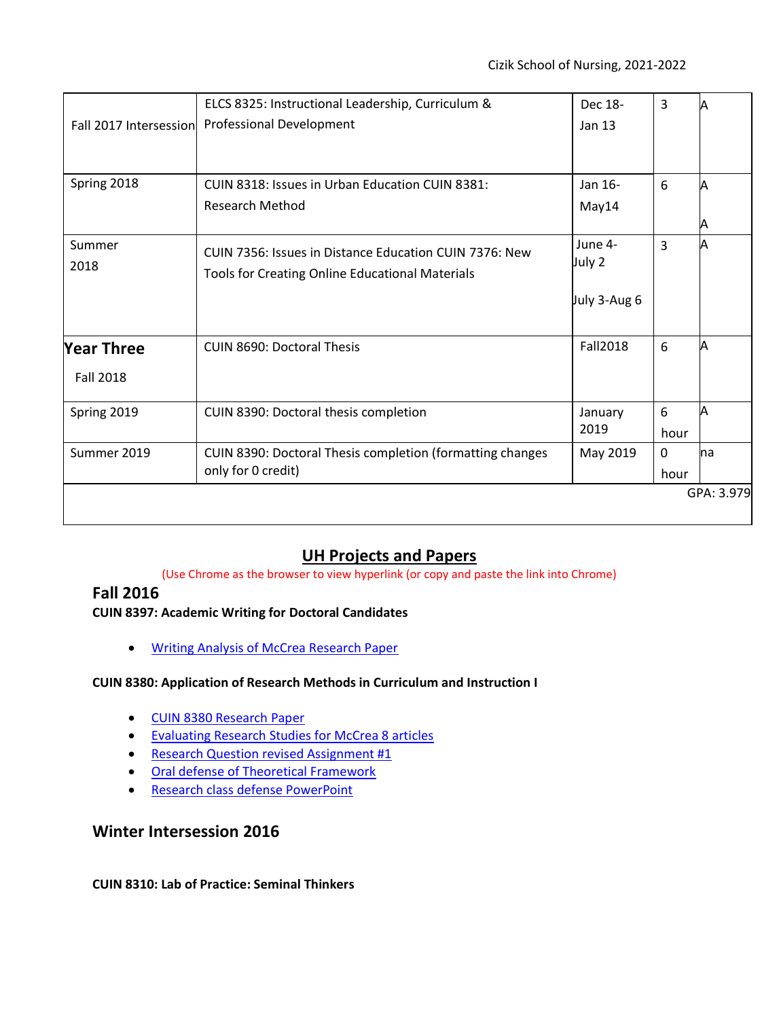|                   | ELCS 8325: Instructional Leadership, Curriculum &         | Dec 18-         | 3           |            |
|-------------------|-----------------------------------------------------------|-----------------|-------------|------------|
|                   | Fall 2017 Intersession Professional Development           | <b>Jan 13</b>   |             |            |
|                   |                                                           |                 |             |            |
| Spring 2018       | CUIN 8318: Issues in Urban Education CUIN 8381:           | Jan 16-         | 6           |            |
|                   | <b>Research Method</b>                                    | May14           |             |            |
|                   |                                                           |                 |             | и          |
| Summer            | CUIN 7356: Issues in Distance Education CUIN 7376: New    | June 4-         | 3           |            |
| 2018              | <b>Tools for Creating Online Educational Materials</b>    | July 2          |             |            |
|                   |                                                           | July 3-Aug 6    |             |            |
|                   |                                                           |                 |             |            |
| <b>Year Three</b> | <b>CUIN 8690: Doctoral Thesis</b>                         | <b>Fall2018</b> | 6           | А          |
| <b>Fall 2018</b>  |                                                           |                 |             |            |
| Spring 2019       | CUIN 8390: Doctoral thesis completion                     | January         | 6           | и          |
|                   |                                                           | 2019            | hour        |            |
| Summer 2019       | CUIN 8390: Doctoral Thesis completion (formatting changes | May 2019        | $\mathbf 0$ | ha         |
|                   | only for 0 credit)                                        |                 | hour        |            |
|                   |                                                           |                 |             | GPA: 3.979 |
|                   |                                                           |                 |             |            |

# **UH Projects and Papers**

(Use Chrome as the browser to view hyperlink (or copy and paste the link into Chrome)

### **Fall 2016**

**CUIN 8397: Academic Writing for Doctoral Candidates** 

• [Writing Analysis of McCrea Research Paper](https://www.dropbox.com/s/diddlkt6ggk3edr/Writing%20Analysis%20of%20%20Research%20Proposal%20Paper%20for%20McCrea%20rev%2012.7.16.docx?dl=0)

### **CUIN 8380: Application of Research Methods in Curriculum and Instruction I**

- [CUIN 8380 Research Paper](https://www.dropbox.com/s/e9jclo3toivgsry/Research%20Question%20revised%20for%2011.26.16%20class.docx?dl=0)
- [Evaluating Research Studies for McCrea 8 articles](https://www.dropbox.com/s/kkrsrw6t0xtyb3p/Evaluation%20Research%20studies%20for%20McCrea%208%20articles%20for%20CUIN%208380.docx?dl=0)
- [Research Question revised Assignment #1](https://www.dropbox.com/s/e9jclo3toivgsry/Research%20Question%20revised%20for%2011.26.16%20class.docx?dl=0)
- [Oral defense of Theoretical Framework](https://www.dropbox.com/s/l6k62w6a8x792dn/Oral%20Defense%20of%20Theorical%20Framework%20for%20McCrea%20rev%2011.30.16.pptx?dl=0)
- [Research class defense PowerPoint](https://www.dropbox.com/s/u07vrjv02rgigdl/Research%20class%20defense%20ppt%20for%20mccrea%2012.1.16%20vers%202.ppt?dl=0)

### **Winter Intersession 2016**

### **CUIN 8310: Lab of Practice: Seminal Thinkers**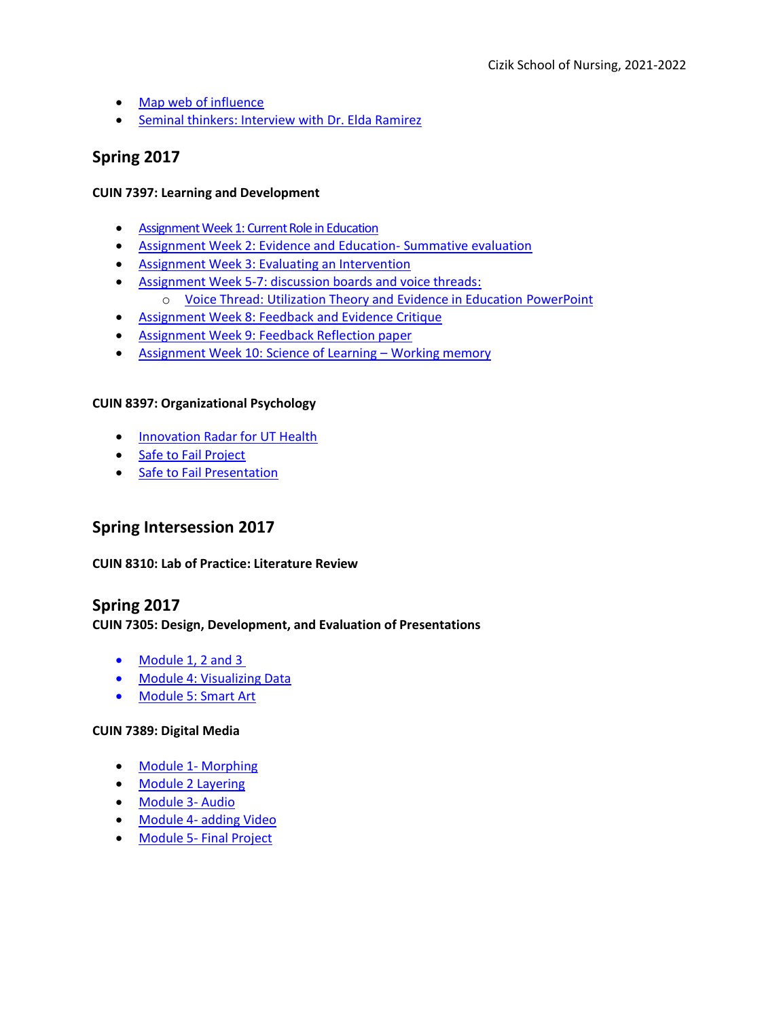- [Map web of influence](https://www.dropbox.com/s/evcy1fwc2nc8eix/Map%20your%20own%20web%20of%20influence%20Module%202%20assignment%20Winter%202016%20McCrea%2C%20Debbie.doc?dl=0)
- [Seminal thinkers: Interview with Dr. Elda Ramirez](https://www.dropbox.com/s/ka9ajo2mcd39qja/Module%204%20winter%202017%20intersession-%20Interview%20with%20Dr.%20Elda%20Ramirez.docx?dl=0)

# **Spring 2017**

### **CUIN 7397: Learning and Development**

- [Assignment Week 1: Current Role in Education](https://www.dropbox.com/s/vqu6ses0pxa2m6g/Assignment%201%20for%20Learning%20and%20Development.docx?dl=0)
- [Assignment Week 2: Evidence and Education-](https://www.dropbox.com/s/g2u1nw8v5l04dzr/Week%202%20Evidence%20and%20Education-Summative%20Evaluation.docx?dl=0) Summative evaluation
- [Assignment Week 3: Evaluating an Intervention](https://www.dropbox.com/s/jg73iib7lzwqybx/Week%203%20Evaluating%20an%20Intervention.docx?dl=0)
- [Assignment Week 5-7: discussion boards and voice threads:](https://www.dropbox.com/s/a44oep32olm96qo/Week%204%20Theories%20of%20Learning%20Discussion%20Post.docx?dl=0)
	- o [Voice Thread: Utilization Theory and Evidence in Education PowerPoint](https://www.dropbox.com/s/d8kndhl03uu7c89/Microteaching%20Voice%20threads.pptx?dl=0)
- [Assignment Week 8: Feedback and Evidence Critique](https://www.dropbox.com/s/ps0tunzzer8z560/Week%208%20Feedback%20and%20Evidence%20Critique%20for%20McCrea%203.19.2017.docx?dl=0)
- [Assignment Week 9: Feedback Reflection paper](https://www.dropbox.com/s/z1znc7eytiaqqll/week%209-%20feedback%20reflection%20paper%20rev%203.25.2017.docx?dl=0)
- [Assignment Week 10: Science of Learning](https://www.dropbox.com/s/h6l1qtki27wzuid/week%2010%20Science%20of%20learning-%20working%20memory.docx?dl=0)  Working memory

### **CUIN 8397: Organizational Psychology**

- [Innovation Radar for UT Health](https://www.dropbox.com/s/urd863sms84tz54/Innovation%20Radar%20for%20UTHealth%2C%20McCrea.docx?dl=0)
- [Safe to Fail Project](https://www.dropbox.com/s/alfijlz8cjfoit4/Deb%20Safe-to-Fail%20Experiment%20-GRADUATE%20Nursing%20Student%20Clinical%20Rotation%20Assignment%20Simplification%20Process.doc?dl=0)
- [Safe to Fail Presentation](https://www.dropbox.com/s/73zxpcojz6jcgz2/safe%20to%20fail%20presentation%20for%205.1.2017.pptx?dl=0)

### **Spring Intersession 2017**

**CUIN 8310: Lab of Practice: Literature Review** 

### **Spring 2017**

### **CUIN 7305: Design, Development, and Evaluation of Presentations**

- [Module 1, 2 and 3](https://www.dropbox.com/s/cg1m910nqhwzul1/Assignment%201%20and%202%20and%203%20for%20CUIN%207305%20for%20summer%202017-%20rev%206.16.2017%20McCrea%2C%20Debbie.docx?dl=0)
- [Module 4: Visualizing Data](https://www.dropbox.com/s/1beszb376biyf0i/McCrea_module4.mp4?dl=0)
- [Module 5: Smart Art](https://www.dropbox.com/s/kuhint4nv82ar9i/McCrea_module5.mp4?dl=0)

### **CUIN 7389: Digital Media**

- [Module 1-](https://www.dropbox.com/s/ox8jh4pcga1tade/Module%201%20Assignment%201%20for%20McCrea%2C%20Debbie%20for%20morphing.pptx?dl=0) Morphing
- [Module 2](https://www.dropbox.com/s/v7x12h9qoj9ku62/Module%202%20assigment%20for%20CUIN%207389%20for%20McCrea%2C%20Debbie%20rev%207.23.2017.pptx?dl=0) Layering
- [Module 3-](https://www.dropbox.com/s/otalkwzss51ksii/McCrea_audio1%20for%20Module%203.pptx?dl=0) Audio
- Module 4- [adding Video](https://www.dropbox.com/s/vg9e9f2wzenynkb/McCrea_module4.pptx?dl=0)
- Module 5- [Final Project](https://www.dropbox.com/s/1vikv3ssmi3pjo7/McCrea_module5.pptx?dl=0)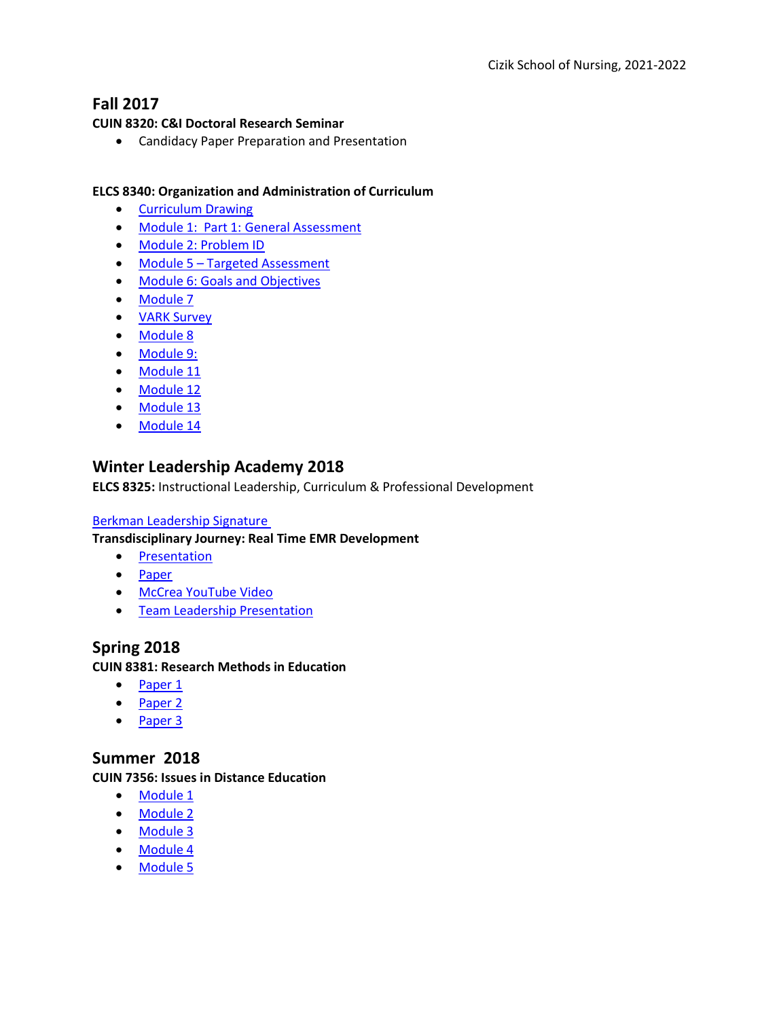# **Fall 2017**

### **CUIN 8320: C&I Doctoral Research Seminar**

• Candidacy Paper Preparation and Presentation

### **ELCS 8340: Organization and Administration of Curriculum**

- [Curriculum Drawing](https://www.dropbox.com/s/vpgswlh4m8wn5qt/debbie%20curriculum.JPG?dl=0)
- [Module 1: Part 1: General Assessment](https://www.dropbox.com/s/ox8jh4pcga1tade/Module%201%20Assignment%201%20for%20McCrea%2C%20Debbie%20for%20morphing.pptx?dl=0)
- [Module 2: Problem ID](https://www.dropbox.com/s/v7x12h9qoj9ku62/Module%202%20assigment%20for%20CUIN%207389%20for%20McCrea%2C%20Debbie%20rev%207.23.2017.pptx?dl=0)
- Module 5 [Targeted Assessment](https://www.dropbox.com/s/z1hrrryl8a8df1i/TARGETED%20NEEDS%20ASSESSMENT%20DOCUMENT-%20McCrea%20%282%29.doc?dl=0)
- [Module 6: Goals and Objectives](https://www.dropbox.com/s/vbjcycto188sd1b/Module%206-%20Goals%20and%20Objectives%20Document%20McCrea%2C%20Debbie.doc?dl=0)
- [Module 7](https://www.dropbox.com/s/6awebde2zecko9x/Module%207-%20Definition%20Race%20Time%20for%20Deb%20McCrea.docx?dl=0)
- [VARK Survey](https://www.dropbox.com/s/oppjvrms3hnfv1h/Modudule%208-%20Your%20VARK%20Results-%20McCrea%20-%20Copy.docx?dl=0)
- [Module 8](https://www.dropbox.com/s/iv2sxavcykhxnla/Module%208%20leadership%20exercise%20part%202%20from%20Young%20and%20McCrea.docx?dl=0)
- [Module 9:](https://www.dropbox.com/s/caur7h7007huhv8/Journal%20entry%20for%20module%209%20for%20McCrea%2C%20Debbie.docx?dl=0)
- [Module 11](https://www.dropbox.com/s/va81g2bimqmy3u2/Journal%20Entry%20Module%2011.docx?dl=0)
- [Module 12](https://www.dropbox.com/s/3p7iftnpx15r4v4/Module%2012%20feedback%20and%20evaluation%20paper%20-%20draft%20for%20McCrea%2C%20Debbie.doc?dl=0)
- [Module 13](https://www.dropbox.com/s/jyofvwhzdyc86da/module%2013%20Leadership%20paper%20for%20Pepper%20and%20Jasmine%20from%20Deb%20McCrea.docx?dl=0)
- [Module 14](https://www.dropbox.com/s/fbe5i6phfy1u3x4/Module%2014-Jourrnal%20entry-%20McCrea.docx?dl=0)

### **Winter Leadership Academy 2018**

**ELCS 8325:** Instructional Leadership, Curriculum & Professional Development

#### [Berkman Leadership Signature](https://www.dropbox.com/s/byvp3gxemivx46g/DEBBIE_MCCREA_G553XQ.pdf?dl=0)

### **Transdisciplinary Journey: Real Time EMR Development**

- [Presentation](https://www.dropbox.com/s/x8j5wsidbxrvl0v/Transdiciplinary%20Journey-%20McCrea%2C%20Debbie.pptx?dl=0)
- [Paper](https://www.dropbox.com/s/ds6l088bud532xs/Leadership%20Paper%20A6%20McCrea%20rev%205.8.2018%20%282%29.docx?dl=0)
- [McCrea YouTube Video](https://www.youtube.com/watch?v=IfG_rommIlc)
- [Team Leadership Presentation](https://www.dropbox.com/s/jyov20kr33pccw7/Team%20Leadership%20Presentation-McCrea%20final.pptx?dl=0)

### **Spring 2018**

### **CUIN 8381: Research Methods in Education**

- [Paper 1](https://www.dropbox.com/s/b6mfg7k71d1uznm/Assignment%201A%20Template-%20McCrea%2C%20Debbie%20rev%206.10.2018.docx?dl=0)
- [Paper 2](https://www.dropbox.com/s/m0g0l87k85cyfbo/Experimental%20design%20Deb%20Input.pptx?dl=0)
- [Paper 3](https://www.dropbox.com/s/yebxgym9u0fnyjp/SPSS%20Assignment%201%20for%20March%2011%20for%20McCrea.docx?dl=0)

### **Summer 2018**

### **CUIN 7356: Issues in Distance Education**

- [Module 1](https://www.dropbox.com/s/b6mfg7k71d1uznm/Assignment%201A%20Template-%20McCrea%2C%20Debbie%20rev%206.10.2018.docx?dl=0)
- [Module 2](https://www.dropbox.com/s/tgcgsetzdwq88eo/Assignment%202%20-%20Creativity%20and%20Innovation%20Chart%20-McCrea%2C%20Deborah%20%281%29.docx?dl=0)
- [Module 3](https://www.dropbox.com/s/w5cyrluw1kjbqec/Assignment%203%20-%20active%20learning%20course%20redesign%20final%20-%20McCrea.docx?dl=0)
- [Module 4](https://www.dropbox.com/s/60ga1zf29xicmft/Module%204-Input%20of%20Group%20Work%20Contribution-%20McCrea%2C%20Debbie.docx?dl=0)
- [Module 5](https://www.dropbox.com/s/3u3phu9hqovjx94/Assignment%205%20-%20Instructional%20Stategies%20for%20Feedback%20and%20Student%20Learning%20assignment%20for%20Debbie%20McCrea.docx?dl=0)